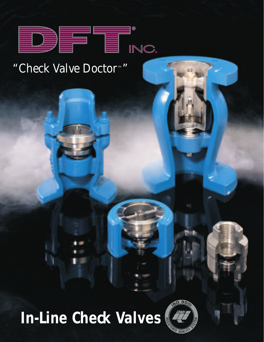

# *"Check Valve Doctor™"*

# **In-Line Check Valves**

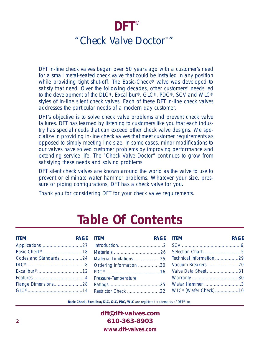# **DFT** ®*"Check Valve Doctor™ "*

DFT in-line check valves began over 50 years ago with a customer's need for a small metal-seated check valve that could be installed in any position while providing tight shut-off. The Basic-Check® valve was developed to satisfy that need. Over the following decades, other customers' needs led to the development of the DLC®, Excalibur®, GLC®, PDC®, SCV and WLC® styles of in-line silent check valves. Each of these DFT in-line check valves addresses the particular needs of a modern day customer.

DFT's objective is to solve check valve problems and prevent check valve failures. DFT has learned by listening to customers like you that each industry has special needs that can exceed other check valve designs. We specialize in providing in-line check valves that meet customer requirements as opposed to simply meeting line size. In some cases, minor modifications to our valves have solved customer problems by improving performance and extending service life. The "Check Valve Doctor" continues to grow from satisfying these needs and solving problems.

DFT silent check valves are known around the world as the valve to use to prevent or eliminate water hammer problems. Whatever your size, pressure or piping configurations, DFT has a check valve for you.

Thank you for considering DFT for your check valve requirements.

# **Table Of Contents**

|  |  | ITEM PAGE ITEM PAGE PAGE TEMPAGE PAGE ITEM                              | <b>PAGE</b> |
|--|--|-------------------------------------------------------------------------|-------------|
|  |  |                                                                         |             |
|  |  |                                                                         |             |
|  |  | Codes and Standards 24 Material Limitations 25 Technical Information 29 |             |
|  |  |                                                                         |             |
|  |  |                                                                         |             |
|  |  |                                                                         |             |
|  |  |                                                                         |             |
|  |  |                                                                         |             |

*Basic-Check, Excalibur, DLC, GLC, PDC, WLC* are registered trademarks of DFT® Inc.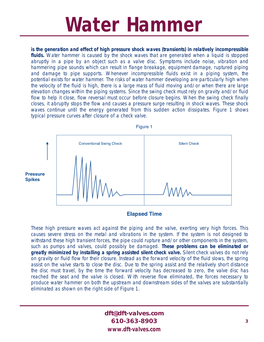# **Water Hammer**

**is the generation and effect of high pressure shock waves (transients) in relatively incompressible fluids.** Water hammer is caused by the shock waves that are generated when a liquid is stopped abruptly in a pipe by an object such as a valve disc. Symptoms include noise, vibration and hammering pipe sounds which can result in flange breakage, equipment damage, ruptured piping and damage to pipe supports. Whenever incompressible fluids exist in a piping system, the potential exists for water hammer. The risks of water hammer developing are particularly high when the velocity of the fluid is high, there is a large mass of fluid moving and/or when there are large elevation changes within the piping systems. Since the swing check must rely on gravity and/or fluid flow to help it close, flow reversal must occur before closure begins. When the swing check finally closes, it abruptly stops the flow and causes a pressure surge resulting in shock waves. These shock waves continue until the energy generated from this sudden action dissipates. Figure 1 shows typical pressure curves after closure of a check valve.



**Elapsed Time** 

These high pressure waves act against the piping and the valve, exerting very high forces. This causes severe stress on the metal and vibrations in the system. If the system is not designed to withstand these high transient forces, the pipe could rupture and/or other components in the system, such as pumps and valves, could possibly be damaged. **These problems can be eliminated or greatly minimized by installing a spring assisted silent check valve.** Silent check valves do not rely on gravity or fluid flow for their closure. Instead as the forward velocity of the fluid slows, the spring assist on the valve starts to close the disc. Due to the spring assist and the relatively short distance the disc must travel, by the time the forward velocity has decreased to zero, the valve disc has reached the seat and the valve is closed. With reverse flow eliminated, the forces necessary to produce water hammer on both the upstream and downstream sides of the valves are substantially eliminated as shown on the right side of Figure 1.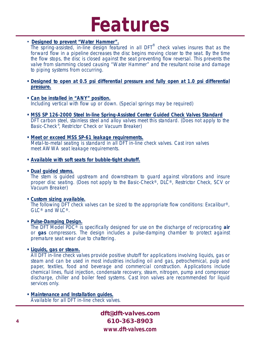# **Features**

### • **Designed to prevent "Water Hammer".**

The spring-assisted, in-line design featured in all DFT<sup>®</sup> check valves insures that as the forward flow in a pipeline decreases the disc begins moving closer to the seat. By the time the flow stops, the disc is closed against the seat preventing flow reversal. This prevents the valve from slamming closed causing "Water Hammer" and the resultant noise and damage to piping systems from occurring.

- **• Designed to open at 0.5 psi differential pressure and fully open at 1.0 psi differential pressure.**
- **• Can be installed in** *"ANY"* **position.** Including vertical with flow up or down. (Special springs may be required)
- **• MSS SP 126-2000 Steel In-line Spring-Assisted Center Guided Check Valves Standard** DFT carbon steel, stainless steel and alloy valves meet this standard. (Does not apply to the Basic-Check<sup>®</sup>, Restrictor Check or Vacuum Breaker)
- **• Meet or exceed MSS SP-61 leakage requirements.** Metal-to-metal seating is standard in all DFT in-line check valves. Cast iron valves meet AWWA seat leakage requirements.
- **Available with soft seats for bubble-tight shutoff.**
- **• Dual guided stems.**

The stem is guided upstream and downstream to guard against vibrations and insure proper disc seating. (Does not apply to the Basic-Check®, DLC®, Restrictor Check, SCV or Vacuum Breaker)

#### **• Custom sizing available.**

The following DFT check valves can be sized to the appropriate flow conditions: Excalibur<sup>®</sup>, GLC® and WLC®.

#### **• Pulse-Damping Design.**

The DFT Model PDC® is specifically designed for use on the discharge of reciprocating **air** or **gas** compressors. The design includes a pulse-damping chamber to protect against premature seat wear due to chattering.

#### **• Liquids, gas or steam.**

All DFT in-line check valves provide positive shutoff for applications involving liquids, gas or steam and can be used in most industries including oil and gas, petrochemical, pulp and paper, textiles, food and beverage and commercial construction. Applications include chemical lines, fluid injection, condensate recovery, steam, nitrogen, pump and compressor discharge, chiller and boiler feed systems. Cast Iron valves are recommended for liquid services only.

**• Maintenance and Installation guides.** Available for all DFT in-line check valves.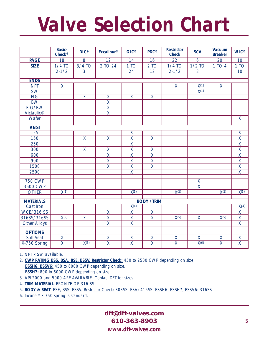# **Valve Selection Chart**

|                        | <b>Basic-</b><br>Check <sup>®</sup> | $DLC^{\circledast}$     | Excalibur <sup>®</sup>                              | $GLC^{\circledast}$           | PDC <sup>®</sup>        | <b>Restrictor</b><br><b>Check</b> | <b>SCV</b>              | <b>Vacuum</b><br><b>Breaker</b> | <b>WLC®</b>             |
|------------------------|-------------------------------------|-------------------------|-----------------------------------------------------|-------------------------------|-------------------------|-----------------------------------|-------------------------|---------------------------------|-------------------------|
| <b>PAGE</b>            | 18                                  | 8                       | 12                                                  | 14                            | 16                      | 22                                | $\boldsymbol{6}$        | 20                              | 10                      |
| <b>SIZE</b>            | $1/4$ TO                            | $3/4$ TO                | 2 TO 24                                             | 1 TO                          | 2 TO                    | $1/4$ TO                          | $1/2$ TO                | 1 TO 4                          | 1 TO                    |
|                        | $2 - 1/2$                           | 3                       |                                                     | 24                            | 12                      | $2 - 1/2$                         | $\overline{3}$          |                                 | 10                      |
|                        |                                     |                         |                                                     |                               |                         |                                   |                         |                                 |                         |
| <b>ENDS</b>            |                                     |                         |                                                     |                               |                         |                                   |                         |                                 |                         |
| <b>NPT</b>             | $\mathsf{X}$                        |                         |                                                     |                               |                         | $\mathsf{X}$                      | X(1)                    | $\mathsf{X}$                    |                         |
| $\overline{\text{SW}}$ |                                     |                         |                                                     |                               |                         |                                   | $\overline{X^{(1)}}$    |                                 |                         |
| FLG                    |                                     | $\overline{\mathsf{x}}$ | $\overline{\mathsf{X}}$                             | $\overline{\mathsf{x}}$       | $\overline{X}$          |                                   |                         |                                 |                         |
| <b>BW</b>              |                                     |                         | $\overline{\mathsf{x}}$                             |                               |                         |                                   |                         |                                 |                         |
| FLG/BW                 |                                     |                         | $\overline{\mathsf{X}}$                             |                               |                         |                                   |                         |                                 |                         |
| Victaulic®             |                                     |                         | $\overline{\mathsf{X}}$                             |                               |                         |                                   |                         |                                 |                         |
| Wafer                  |                                     |                         |                                                     |                               |                         |                                   |                         |                                 | $\overline{X}$          |
| <b>ANSI</b>            |                                     |                         |                                                     |                               |                         |                                   |                         |                                 |                         |
| $\overline{125}$       |                                     |                         |                                                     | $\overline{\mathsf{X}}$       |                         |                                   |                         |                                 | $\overline{\mathsf{X}}$ |
| 150                    |                                     | X                       | $\mathsf{X}$                                        | $\pmb{\mathsf{X}}$            | $\mathsf{X}$            |                                   |                         |                                 | $\mathsf X$             |
| 250                    |                                     |                         |                                                     | $\overline{\mathsf{x}}$       |                         |                                   |                         |                                 | $\overline{X}$          |
| 300                    |                                     | $\mathsf{X}$            | $\mathsf{X}$                                        | $\overline{\mathsf{x}}$       | $\mathsf X$             |                                   |                         |                                 | $\overline{\mathsf{X}}$ |
| 600                    |                                     |                         | $\overline{\mathsf{X}}$                             | $\overline{\mathsf{x}}$       | $\overline{X}$          |                                   |                         |                                 | $\overline{\mathsf{X}}$ |
| 900                    |                                     |                         | $\mathsf X$                                         | $\overline{\mathsf{X}}$       | $\mathsf{X}% _{0}$      |                                   |                         |                                 | $\mathsf{X}% _{0}$      |
| 1500                   |                                     |                         | $\overline{X}$                                      | $\pmb{\mathsf{X}}$            | $\mathsf{X}% _{0}$      |                                   |                         |                                 | $\mathsf X$             |
| 2500                   |                                     |                         |                                                     | $\overline{\mathsf{x}}$       |                         |                                   |                         |                                 | $\overline{X}$          |
|                        |                                     |                         |                                                     |                               |                         |                                   |                         |                                 |                         |
| <b>750 CWP</b>         |                                     |                         |                                                     |                               |                         |                                   | $\overline{\mathsf{X}}$ |                                 |                         |
| 3600 CWP               |                                     |                         |                                                     |                               |                         |                                   | $\overline{\mathsf{x}}$ |                                 |                         |
| <b>OTHER</b>           | $\overline{\chi(2)}$                |                         |                                                     | $\overline{\chi(3)}$          |                         | $\overline{\chi(2)}$              |                         | $\overline{\chi(2)}$            | $\chi(3)$               |
| <b>MATERIALS</b>       |                                     |                         |                                                     |                               | <b>BODY /TRIM</b>       |                                   |                         |                                 |                         |
| <b>Cast Iron</b>       |                                     |                         |                                                     | $\overline{\mathsf{X}^{(4)}}$ |                         |                                   |                         |                                 | X(4)                    |
| <b>WCB/316 SS</b>      |                                     |                         | $\mathsf{X}$                                        | $\mathsf{X}$                  | X                       |                                   |                         |                                 | $\overline{X}$          |
| 316SS/316SS            | X(5)                                | X                       | $\mathsf{X}% _{0}^{\prime}=\mathsf{X}_{0}^{\prime}$ | $\mathsf{X}$                  | $\mathsf{X}$            | X(5)                              | X                       | X(5)                            | $\mathsf{X}$            |
| <b>Other Alloys</b>    |                                     |                         | $\overline{X}$                                      | $\overline{X}$                |                         |                                   |                         |                                 | $\mathsf{X}$            |
|                        |                                     |                         |                                                     |                               |                         |                                   |                         |                                 |                         |
| <b>OPTIONS</b>         |                                     |                         |                                                     |                               |                         |                                   |                         |                                 |                         |
| Soft Seat              | $\overline{X}$                      |                         | $\overline{\mathsf{x}}$                             | $\overline{\mathsf{X}}$       | $\pmb{\mathsf{X}}$      | $\overline{\mathsf{x}}$           | $\overline{\mathsf{x}}$ | $\overline{X}$                  | $\overline{X}$          |
| X-750 Spring           | $\overline{X}$                      | X(6)                    | $\overline{\mathsf{x}}$                             | $\overline{\mathsf{x}}$       | $\overline{\mathsf{x}}$ | $\overline{\mathsf{x}}$           | $\overline{\chi(6)}$    | $\overline{\mathsf{x}}$         | $\overline{\mathsf{x}}$ |

1. NPT x SW available.

2. **CWP RATING BSS, BSA, BSE, BSSV, Restrictor Check:** 450 to 2500 CWP depending on size; **BSSH6, BSSV6:** 450 to 6000 CWP depending on size. BSSH7: 800 to 6000 CWP depending on size.

- 3. API 2000 and 5000 ARE AVAILABLE. Contact DFT for sizes.
- 4. **TRIM MATERIAL:** BRONZE OR 316 SS
- 5. **BODY & SEAT**: BSE, BSS, BSSV. Restrictor Check: 303SS, BSA: 416SS, BSSH6, BSSH7, BSSV6: 316SS
- 6. Inconel® X-750 spring is standard.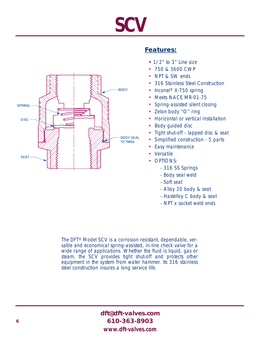# **SCV**



### **Features:**

- **•** 1/2" to 3" Line size
- 750 & 3600 CWP
- NPT & SW ends
- 316 Stainless Steel Construction
- Inconel<sup>®</sup> X-750 spring
- Meets NACE MR-01-75
- Spring-assisted silent closing
- Zelon body "O" ring
- Horizontal or vertical installation
- Body guided disc
- Tight shut-off lapped disc & seat
- Simplified construction 5 parts
- Easy maintenance
- Versatile
- OPTIONS:
	- 316 SS Springs
	- Body seal weld
	- Soft seat
	- Alloy 20 body & seat
	- Hastelloy C body & seat
	- NPT x socket weld ends

The DFT® Model SCV is a corrosion resistant, dependable, versatile and economical spring-assisted, in-line check valve for a wide range of applications. Whether the fluid is liquid, gas or steam, the SCV provides tight shut-off and protects other equipment in the system from water hammer. Its 316 stainless steel construction insures a long service life.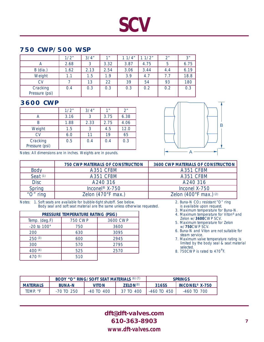# **SCV**

### **750 CWP/500 WSP**

|                            | 1/2" | 3/4" | 1 <sup>''</sup> | 11/4" | 1/2" | 2 <sup>n</sup> | 3"   |
|----------------------------|------|------|-----------------|-------|------|----------------|------|
|                            | 2.68 | 3    | 3.32            | 3.87  | 4.75 | 5              | 6.75 |
| $B$ (dia.)                 | 1.62 | 2.13 | 2.54            | 3.06  | 3.44 | 4.4            | 6.19 |
| Weight                     | 1.1  | 1.5  | 1.9             | 3.9   | 4.7  | 7.7            | 18.8 |
| <b>CV</b>                  |      | 13   | 22              | 39    | 54   | 93             | 180  |
| Cracking<br>Pressure (psi) | 0.4  | 0.3  | 0.3             | 0.3   | 0.2  | 0.2            | 0.3  |

### **3600 CWP**

|                            | 1/2" | 3/4" | 1 <sup>''</sup> | 2 <sup>n</sup> |
|----------------------------|------|------|-----------------|----------------|
|                            | 3.16 |      | 3.75            | 6.38           |
| B                          | 1.88 | 2.33 | 2.75            | 4.06           |
| Weight                     | 1.5  |      | 4.5             | 12.0           |
| CV                         | 6.0  | 11   | 19              | 65             |
| Cracking<br>Pressure (psi) | 0.5  | 0.4  | 0.4             | 0.3            |

Notes: All dimensions are in inches. Weights are in pounds.



|              | <b>750 CWP MATERIALS OF CONSTRUCTION</b> | <b>3600 CWP MATERIALS OF CONSTRUCTION</b> |
|--------------|------------------------------------------|-------------------------------------------|
| <b>Body</b>  | <b>A351 CF8M</b>                         | <b>A351 CF8M</b>                          |
| Seat (1)     | <b>A351 CF8M</b>                         | <b>A351 CF8M</b>                          |
| <b>Disc</b>  | A240 316                                 | A240 316                                  |
| Spring       | Inconel <sup>®</sup> $X-750$             | Inconel X-750                             |
| " $O$ " ring | Zelon (470°F max.)                       | Zelon (400°F max.) (2)                    |

Notes: 1. Soft seats are available for bubble-tight shutoff. See below. Body seal and soft seat material are the same unless otherwise requested.

| PRESSURE TEMPERATURE RATING (PSIG) |                |          |  |  |  |  |  |
|------------------------------------|----------------|----------|--|--|--|--|--|
| Temp. (deg.F)                      | <b>750 CWP</b> | 3600 CWP |  |  |  |  |  |
| -20 to 100°                        | 750            | 3600     |  |  |  |  |  |
| 200                                | 630            | 3095     |  |  |  |  |  |
| 250(3)                             | 600            | 2945     |  |  |  |  |  |
| 300                                | 570            | 2795     |  |  |  |  |  |
| 400(4)                             | 525            | 2570     |  |  |  |  |  |
| 470 (5)                            | 510            |          |  |  |  |  |  |

- 2. Buna-N CO2 resistant "O" ring is available upon request.
- 
- 3. Maximum temperature for Buna-N. 4. Maximum temperature for Viton® and
- Zelon w/**3600**CWP SCV. 5. Maximum temperature for Zelon w/**750**CWP SCV.
- 6. Buna-N and Viton are not suitable for steam service.
- 7. Maximum valve temperature rating is limited by the body seal & seat material selected.
- 8. 750CWP is rated to 470°F.

|                  |               | <b>BODY "O" RING/SOFT SEAT MATERIALS (6) (7)</b> |                            | <b>SPRINGS</b>  |                              |
|------------------|---------------|--------------------------------------------------|----------------------------|-----------------|------------------------------|
| <b>MATERIALS</b> | <b>BUNA-N</b> | <b>VITON</b>                                     | <b>ZELON<sup>(8)</sup></b> | 316SS           | INCONEL <sup>®</sup> $X-750$ |
| TEMP. °F         | -70 TO 250    | $-40$ TO $400$                                   | 37 TO 400                  | $-460$ TO $450$ | $-460$ TO 700                |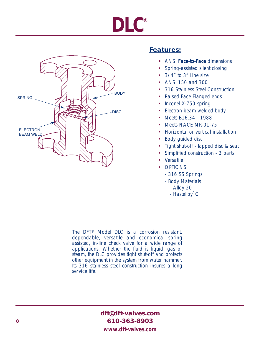# **DLC®**



# **Features:**

- **•** ANSI **Face-to-Face** dimensions
- Spring-assisted silent closing
- 3/4" to 3" Line size
- ANSI 150 and 300
- 316 Stainless Steel Construction
- Raised Face Flanged ends
- Inconel X-750 spring
- Electron beam welded body
- Meets B16.34 1988
- Meets NACE MR-01-75
- Horizontal or vertical installation
- Body guided disc
- Tight shut-off lapped disc & seat
- Simplified construction 3 parts
- Versatile
- OPTIONS:
	- 316 SS Springs
	- Body Materials
		- Alloy 20
		- Hastelloy**®** C

The DFT® Model DLC is a corrosion resistant, dependable, versatile and economical spring assisted, in-line check valve for a wide range of applications. Whether the fluid is liquid, gas or steam, the DLC provides tight shut-off and protects other equipment in the system from water hammer. Its 316 stainless steel construction insures a long service life.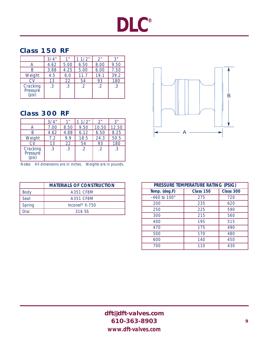# **DLC®**

# **Class 150 RF**

|                             | 3/4"      | 1 <sup>''</sup> | 1/2"      | 2 <sup>n</sup> | 3"   |
|-----------------------------|-----------|-----------------|-----------|----------------|------|
| А                           | 4.62      | 5.00            | 6.50      | 8.00           | 9.50 |
| R                           | 3.88      | 4.25            | 5.00      | 6.00           | 7.50 |
| Weight                      | 4.5       | 6.0             | 11.7      | 19.1           | 39.2 |
| CV                          | 13        | 22              | 54        | 93             | 180  |
| Cracking<br>Pressure<br>psi | $\cdot$ 3 | .3              | $\cdot$ 2 | $\cdot$ 2      | .3   |

# **Class 300 RF**

|                               | 3/4"      | 1 <sup>''</sup> | 1/2"       | 2"         | 3"    |
|-------------------------------|-----------|-----------------|------------|------------|-------|
| А                             | 7.00      | 8.50            | 9.50       | 10.50      | 12.50 |
|                               | 4.62      | 4.88            | 6.12       | 6.50       | 8.25  |
| Weight                        | 7.2       | 9.9             | 18.5       | 24.3       | 50.5  |
| CV                            | 13        | 22              | 54         | 93         | 180   |
| Cracking<br>Pressure<br>(psi) | $\cdot$ 3 | .3              | $\cdot$ .2 | $\cdot$ .2 | .3    |

Notes: All dimensions are in inches. Weights are in pounds.

|             | <b>MATERIALS OF CONSTRUCTION</b> |
|-------------|----------------------------------|
| <b>Body</b> | A351 CF8M                        |
| Seat        | A351 CF8M                        |
| Spring      | Inconel <sup>®</sup> $X-750$     |
| Disc.       | 316 SS                           |



| PRESSURE TEMPERATURE RATING (PSIG) |                  |                  |  |  |  |  |
|------------------------------------|------------------|------------------|--|--|--|--|
| Temp. (deg.F)                      | <b>Class 150</b> | <b>Class 300</b> |  |  |  |  |
| $-460$ to $100^\circ$              | 275              | 720              |  |  |  |  |
| 200                                | 235              | 620              |  |  |  |  |
| 250                                | 225              | 590              |  |  |  |  |
| 300                                | 215              | 560              |  |  |  |  |
| 400                                | 195              | 515              |  |  |  |  |
| 470                                | 175              | 490              |  |  |  |  |
| 500                                | 170              | 480              |  |  |  |  |
| 600                                | 140              | 450              |  |  |  |  |
| 700                                | 110              | 430              |  |  |  |  |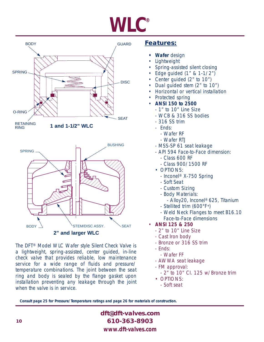# **WLC®**



The DFT® Model WLC Wafer style Silent Check Valve is a lightweight, spring-assisted, center guided, in-line check valve that provides reliable, low maintenance service for a wide range of fluids and pressure/ temperature combinations. The joint between the seat ring and body is sealed by the flange gasket upon installation preventing any leakage through the joint when the valve is in service.

### **Features:**

- **Wafer** design
- **Lightweight**
- Spring-assisted silent closing
- Edge guided (1" & 1-1/2")
- Center guided (2" to 10")
- Dual guided stem (2" to 10")
- Horizontal or vertical installation
- Protected spring
- **ANSI 150 to 2500**
	- 1" to 10" Line Size
	- WCB & 316 SS bodies
	- 316 SS trim
	- Ends:
		- Wafer RF
		- Wafer RTJ
	- MSS-SP 61 seat leakage
	- API 594 Face-to-Face dimension:
		- Class 600 RF
		- Class 900/1500 RF
	- OPTIONS:
		- Inconel® X-750 Spring
		- Soft Seat
		- Custom Sizing
		- Body Materials:
			- Alloy20, Inconel® 625, Titanium
		- Stellited trim (600°F+)
		- Weld Neck Flanges to meet B16.10 Face-to-Face dimensions
- **ANSI 125 & 250**
	- 2" to 10" Line Size
	- Cast Iron body
	- Bronze or 316 SS trim
	- Ends:
		- Wafer FF
	- AWWA seat leakage
	- FM approval:
		- 2" to 10" CI. 125 w/Bronze trim
	- OPTIONS:
	- Soft seat

**Consult page 25 for Pressure/Temperature ratings and page 26 for materials of construction.**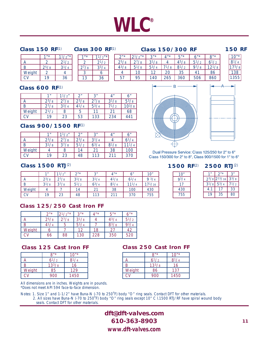# **WLC®**

#### **Class 150 RF**(1)

 $\frac{1^{11}}{2}$   $\frac{11/2^{11}}{2^{11/2}}$ A 2  $2^{1/2}$  $\begin{array}{|c|c|c|c|c|}\n\hline\nB & 2^{5}/8 & 3^{1}/4 \\
\hline\nWeiaht & 2 & 4\n\end{array}$ Weight  $2 \mid 4$  $CV$  19 36

| <b>Class 300 RF(1)</b> |                |                      |  |  |  |  |  |
|------------------------|----------------|----------------------|--|--|--|--|--|
|                        | 1 <sup>1</sup> | $11/2$ <sup>"*</sup> |  |  |  |  |  |
|                        | ン              | $2^{1/2}$            |  |  |  |  |  |
|                        | $2^{7}/8$      | $3^{3}/4$            |  |  |  |  |  |
|                        | 3              | 6                    |  |  |  |  |  |
|                        | 13             | 36                   |  |  |  |  |  |

# $2^{n*}$   $2^{1}/2^{n*}$   $3^{n*}$   $4^{n*}$   $5^{n*}$  6"\* 8"\* 2<sup>5</sup>/8 2<sup>7</sup>/8 3<sup>1</sup>/8 4 4<sup>5</sup>/8 5<sup>1</sup>/2 6<sup>1</sup>/2

#### **Class 150/300 RF 150 RF**

| $\overline{u}$ |
|----------------|
| 4<br>Η         |
| 75<br>/8       |
| R<br>3         |
| 5<br>35        |

#### **Class 600 RF**(1)

|        | 1 <sub>II</sub> | $1^{1/2"$ | $\mathcal{D}''$ | 2 <sup>n</sup> | $\mathbf{\Lambda}''$ | 6"         |
|--------|-----------------|-----------|-----------------|----------------|----------------------|------------|
|        | $2^{3}/8$       | $2^{7}/8$ | $2^{3}/8$       | $2^{7}/8$      | $3^{1}/8$            | $5^{3}/8$  |
|        | $2^{7}/8$       | $3^{3}/4$ | $4^{1}/4$       | $5^{3}/4$      | $7^{1/2}$            | $10^{3}/8$ |
| Weight | $2^{1/2}$       | 8         | b               |                | 21                   | 68         |
|        | 19              | 23        | 53              | 133            | 234                  | 441        |

### **Class 900/1500 RF**(1)

|        | 1 11      | 12''      | າ"        | 3"        | $\mathbf{A}^{\prime\prime}$ | 6"        |
|--------|-----------|-----------|-----------|-----------|-----------------------------|-----------|
| А      | $2^{3}/8$ | $2^{7}/8$ | $2^{3}/4$ | $3^{1}/4$ | Д                           | $6^{1/4}$ |
| B      | $3^{1}/8$ | $3^{7}/8$ | $5^{1}/2$ | $6^{3}/4$ | $8^{1}/8$                   | 111/4     |
| Weight |           | 8         | 14        | 21        | 38                          | 100       |
|        | 19        | 23        | 48        | 113       | 211                         | 370       |

# $\mathsf{B} \longrightarrow \mathsf{A}$

10" 93/4 17 430 755

<mark>4<sup>3</sup>/8 | 51/8 | 53/4 | 71/8 | 81/2 | 97/8 | 121/8</mark> <u>4 | 10 | 12 | 20 | 35 | 41 | 86</u> 57 95 140 265 360 506 860



Dual Pressure Service: Class 125/250 for 2" to 6" Class 150/300 for 2" to 8", Class 900/1500 for 1" to 6"

#### **Class 1500 RTJ**(2)

|        | 1 <sub>II</sub> | 11/2"     | $\gamma$ <sup><math>\pi</math></sup> $\star$ | 3"        | $4$ "*    | 6"         | 10"         |
|--------|-----------------|-----------|----------------------------------------------|-----------|-----------|------------|-------------|
| А      | $2^{3}/8$       | $2^{7}/8$ | $3^{1/8}$                                    | $3^{1}/4$ | $4^{1}/8$ | $6^{1/4}$  | 93/4        |
| B      | $3^{1}/8$       | $3^{7}/8$ | $5^{1}/2$                                    | $6^{3}/4$ | $8^{1}/4$ | $11^{1/4}$ | $17^{1/16}$ |
| Weight | 4               |           | 14                                           | 21        | 38        | 100        | 430         |
| CV     | 19              | 23        | 48                                           | 113       | 211       | 370        | 755         |

### **Class 125/250 Cast Iron FF**

|        | $\gamma$ u $\star$ | $2^{1}/2''$ * | 2 <sup>n</sup> | 4"  | 5"        | $6"$ *    |
|--------|--------------------|---------------|----------------|-----|-----------|-----------|
| Α      | $2^{5}/8$          | $2^{7}/8$     | $3^{1/8}$      | 4   | $4^{3}/4$ | $5^{1}/2$ |
| B      | $4^{1}/4$          | 5             | $5^{3}/4$      |     | $8^{3}/8$ | $9^{3}/4$ |
| Weight | ь                  |               | 12             | 18  | 27        | 42        |
| CV     | 66                 | 88            | 130            | 228 | 350       | 520       |

#### **Class 125 Cast Iron FF**

|        | 8"         | $10^{1*}$ |
|--------|------------|-----------|
| A      | $6^{1/2}$  | $8^{1/4}$ |
| B      | $13^{3}/8$ | 16        |
| Weight | 85         | 129       |
| CΜ     | 900        | 1450      |

#### **Class 250 Cast Iron FF**

|        | 8"         | $10"$ *   |
|--------|------------|-----------|
| А      | $6^{1/2}$  | $8^{1}/4$ |
| B      | $13^{3}/8$ | 16        |
| Weight | 86         | 137       |
|        | 900        | 1450      |

All dimensions are in inches. Weights are in pounds. \*Does not meet API 594 face-to-face dimension.

Notes: 1. Size 1" and 1-1/2" have Buna-N (-70 to 250°F) body "O" ring seals. Contact DFT for other materials.<br>2. All sizes have Buna-N (-70 to 250°F) body "O" ring seals except 10" C l.1500 RTJ/RF have spiral wound body seals. Contact DFT for other materials.

> **dft@dft-valves.com 610-363-8903** *www.dft-valves.com*

#### **1500 RF**(2) **2500 RTJ**(2)

| $^{\prime\prime}$ | $2^{n*}$                                  | 3"        |
|-------------------|-------------------------------------------|-----------|
|                   | $2^{3}/8$ 2 <sup>13</sup> / <sub>16</sub> | $3^{3}/8$ |
| $3^{1}/8$         | $5^{3}/4$                                 | $7^{1/2}$ |
| 4.1               |                                           | 33        |
| 19                | 35                                        | 80        |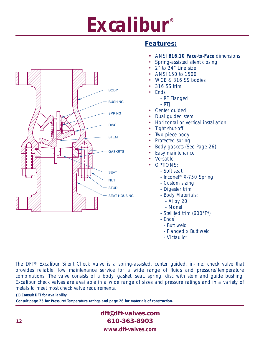# **Excalibur®**



# **Features:**

- **•** ANSI **B16.10 Face-to-Face** dimensions
- Spring-assisted silent closing
- 2" to 24" Line size
- ANSI 150 to 1500
- WCB & 316 SS bodies
- 316 SS trim
- Ends:
	- RF Flanged
	- RTJ
- Center guided
- Dual guided stem
- Horizontal or vertical installation
- Tight shut-off
- Two piece body
- Protected spring
- Body gaskets (See Page 26)
- Easy maintenance
- Versatile
- OPTIONS:
	- Soft seat
	- Inconel® X-750 Spring
	- Custom sizing
	- Digester trim
	- Body Materials:
		- Alloy 20
		- Monel
	- Stellited trim (600°F+)
	- $Ends^{\text{\tiny(1)}}$ :
		- Butt weld
		- Flanged x Butt weld
	- Victaulic®

The DFT® Excalibur Silent Check Valve is a spring-assisted, center guided, in-line, check valve that provides reliable, low maintenance service for a wide range of fluids and pressure/temperature combinations. The valve consists of a body, gasket, seat, spring, disc with stem and guide bushing. Excalibur check valves are available in a wide range of sizes and pressure ratings and in a variety of metals to meet most check valve requirements.

#### **(1) Consult DFT for availability**

**Consult page 25 for Pressure/Temperature ratings and page 26 for materials of construction.**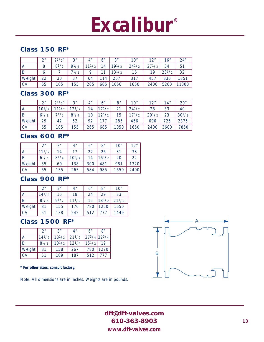# **Excalibur®**

### **Class 150 RF\***

|               | $\mathcal{D}^{\prime\prime}$ | $2^{1}/2$ " | 2 <sup>n</sup> | 4"   | 6"  | 8"         | 10"        | 12"   | 16"        | 24"   |
|---------------|------------------------------|-------------|----------------|------|-----|------------|------------|-------|------------|-------|
| ١A            | 8                            | $8^{1/2}$   | $Q1/\gamma$    | 11/2 | 14  | $19^{1}/2$ | $24^{1/2}$ | 271/2 | 34         | 51    |
| l B           | b                            |             | $7^{1/2}$      | a    |     | $13^{1/2}$ | 16         | 19    | $23^{1/2}$ | 32    |
| <b>Weight</b> | 22                           | 30          | 37             | 64   | 114 | 207        | 317        | 457   | 830        | 1851  |
| ı CV          | 65                           | 105         | 155            | 265  | 685 | 1050       | 1650       | 2400  | 5200       | 11300 |

### **Class 300 RF\***

|                        | ົາ″        | $2^{1}/2"$ | 2 <sub>u</sub> | 4"  | 6"         | 8"              | 10"        | 12"        | 14"  | 20"        |
|------------------------|------------|------------|----------------|-----|------------|-----------------|------------|------------|------|------------|
| A                      | $10^{1/2}$ |            | $12^{1/2}$     | 14  | $17^{1/2}$ | 21              | $24^{1/2}$ | 28         | 33   | 40         |
| ΙB                     | $6^{1/2}$  | 71/2       | $8^{1}/4$      | 10  | $12^{1/2}$ | 15 <sub>1</sub> | $17^{1/2}$ | $20^{1/2}$ | 23   | $30^{1/2}$ |
| Weight                 | 29         | 42         | 52             | 92  |            | 285             | 456        | 696        | 725  | 2375       |
| $\overline{\text{cv}}$ | 65         | 105        | 155            | 265 | 685        | 050             | 1650       | 2400       | 3600 | 7850       |

### **Class 600 RF\***

|               | າ"         | 3"        | 4"         | 6"  | 8"         | 10"  | 12"  |
|---------------|------------|-----------|------------|-----|------------|------|------|
| ١A            | $11^{1/2}$ | 14        | 17         | 22  | 26         | 31   | 33   |
| l B           | $6^{1/2}$  | $8^{1}/4$ | $10^{3}/4$ | 14  | $16^{1/2}$ | 20   | 22   |
| <b>Weight</b> | 35         | 69        | 138        | 300 | 481        | 981  | 1320 |
| <b>CV</b>     | 65         | 155       | 265        | 584 | 985        | 1650 | 2400 |

### **Class 900 RF\***

|        | 2 <sup>n</sup> | 3 <sup>''</sup> | 4 <sup>n</sup> | 6"  | 8"         | 10"        |
|--------|----------------|-----------------|----------------|-----|------------|------------|
| A      | $14^{1}/2$     | 15              | 18             | 24  | 29         | 33         |
| B      | $8^{1}/2$      | 91/2            | $11^{1/2}$     | 15  | $18^{1}/2$ | $21^{1/2}$ |
| Weight | 81             | 155             | 176            | 780 | 1250       | 1650       |
|        | 51             | 138             | 242            | 512 |            | 1449       |

### **Class 1500 RF\***

|               | 2 <sup>n</sup> | 2 <sup>n</sup>                            | 4″         | 6"         | 8"                                      |
|---------------|----------------|-------------------------------------------|------------|------------|-----------------------------------------|
| Ά             | $14^{1/2}$     | $18^{1/2}$ 21 <sup>1</sup> / <sub>2</sub> |            |            | $27^3/4$ 32 <sup>3</sup> / <sub>4</sub> |
| l B           | $8^{1}/2$      | $10^{1/2}$                                | $12^{1/4}$ | $15^{1/2}$ | 19                                      |
| <b>Weight</b> | 81             | 158                                       | 267        | 780        | 1270                                    |
| CV.           | 51             | 109                                       | 187        | 512        | 777                                     |

**\* For other sizes, consult factory.**

Note: All dimensions are in inches. Weights are in pounds.

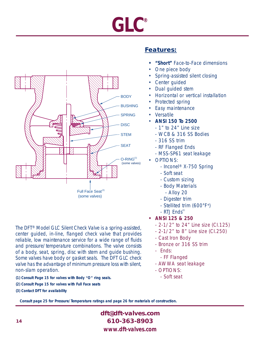# **GLC®**



The DFT® Model GLC Silent Check Valve is a spring-assisted, center guided, in-line, flanged check valve that provides reliable, low maintenance service for a wide range of fluids and pressure/temperature combinations. The valve consists of a body, seat, spring, disc with stem and guide bushing. Some valves have body or gasket seals. The DFT GLC check valve has the advantage of minimum pressure loss with silent, non-slam operation.

- **(1) Consult Page 15 for valves with Body "O" ring seals.**
- **(2) Consult Page 15 for valves with Full Face seats**
- **(3) Contact DFT for availability**

### **Features:**

- **• "Short"** Face-to-Face dimensions
- One piece body
- Spring-assisted silent closing
- Center guided
- Dual guided stem
- Horizontal or vertical installation
- Protected spring
- Easy maintenance
- **Versatile**
- **ANSI 150 To 2500**
	- 1" to 24" Line size
	- WCB & 316 SS Bodies
	- 316 SS trim
	- RF Flanged Ends
	- MSS-SP61 seat leakage
- OPTIONS:
	- Inconel® X-750 Spring
	- Soft seat
	- Custom sizing
	- Body Materials
		- Alloy 20
	- Digester trim
	- Stellited trim (600°F+)
	- RTJ Ends<sup>(3)</sup>
- **• ANSI 125 & 250** 
	- 2-1/2" to 24" Line size (CI.125)
	- 2-1/2" to 8" Line size (CI.250)
	- Cast Iron Body
	- Bronze or 316 SS trim
	- Ends:
		- FF Flanged
	- AWWA seat leakage
	- OPTIONS:
		- Soft seat

**Consult page 25 for Pressure/Temperature ratings and page 26 for materials of construction.**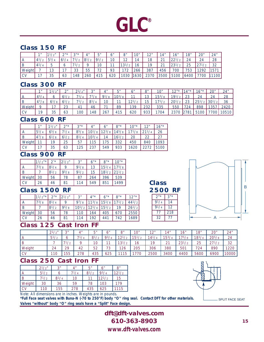# **GLC®**

### **Class 150 RF**

|           | 1 <sub>II</sub> | $\sqrt{2}$ | $\bigcap \pi$ * | $2n\star$<br>J | $\Lambda$      | F''<br>ັ           | 6"  | O <sub>II</sub>            | $1^{\prime}$<br>U | 12 <sup>u</sup><br>$\sim$ $\sim$ | 14"                | 16"  | 18"      | 20" | 24"              |
|-----------|-----------------|------------|-----------------|----------------|----------------|--------------------|-----|----------------------------|-------------------|----------------------------------|--------------------|------|----------|-----|------------------|
|           |                 |            | $-1$            |                | Q <sub>1</sub> | $Q1/\gamma$        | 10  | $1^{\circ}$<br>. L         | $\overline{4}$    | 18                               | $\sim$<br><u>_</u> | 221  | 24       | 24  | 28               |
|           |                 |            |                 |                |                | 10                 | 11  | $-1.01$<br>$\sqrt{2}$<br>◡ | 16                | 19                               | $\sim$<br><u>_</u> | 231  | つに<br>بے |     | 32               |
| Weight    |                 | 13         |                 | วว<br>ںں       | 55             | $\neg$ $\cap$<br>∠ | 93  | 70<br>∼                    | 266               | 387                              | 456                | 700  | 753      | 292 | 157 <sup>1</sup> |
| <b>CV</b> |                 | 35         | 63              | 48             | 260            | 415                | 620 | 1030                       | 630               | 2370                             | 3500               | 5100 | 6400     | 700 | 100              |

### **Class 300 RF**

|           | 1 <sub>II</sub>             | 1 <sup>n</sup> | $\bigcap$ | 21/a'' | $\Omega$ | $\Lambda$ " | $\sqrt{u}$ | $\mathcal{L}''$ | Q''         | 10"        | $12n*$     | $14n*$      | 16"                           | 20"          | 24"    |
|-----------|-----------------------------|----------------|-----------|--------|----------|-------------|------------|-----------------|-------------|------------|------------|-------------|-------------------------------|--------------|--------|
|           | $\Delta$ 3/                 |                |           |        |          | $\sim$      | $1103/c$ . | 11              | $1^{\circ}$ | 153/g      | $101/2$ .  | $\cap$      | $\Omega$                      | 24           | 28     |
| B         | $\Delta$ <sup>7</sup><br>/8 |                |           |        |          | 10          | $\sim$     | $12^{1/2}$      | 15          | $\sqrt{2}$ | $20^{1/2}$ | າາ          | 25 <sup>1</sup><br>$\sqrt{2}$ | $ 30^{1}/2 $ | 36     |
| Weight    |                             |                | $\sim$    |        | 46       |             | 89         | 139             | ววว<br>.JZ  | 335        | 55C        | フウオ         | 898                           | 1257         | $2420$ |
| <b>CV</b> | 10                          | 35             | 63        | 100    | 48       | 267         | 415        | 620             | 933         | 1704       | 2370       | <b>2781</b> | 5100                          | 7700         | 10510  |

### **Class 600 RF**

|           | 1 <sub>II</sub> | $1^{1}/2''$ | $2^{\mu *}$ | 2 <sup>n</sup> | 4"         | 6"                                        | $8"$ *     | $10^{1*}$  | 12 <sup>''</sup> | $16"$ * |
|-----------|-----------------|-------------|-------------|----------------|------------|-------------------------------------------|------------|------------|------------------|---------|
| 'Α        | $15^{1}/4$      | $6^{5}/8$   |             | $8^{5}/8$      | $10^{1}/8$ | $12^{3}/8$ 14 <sup>5</sup> / <sub>8</sub> |            | $17^{1}/8$ | $21^{1/4}$       | 26      |
| B         | $14^{7}/8$      | /8          |             | $8^{1}/4$      | $10^{3}/4$ | 14                                        | $16^{1/2}$ | 20         |                  |         |
| Weight    |                 | 1 Q         | 25          | 57             | 15         | 75                                        | 332        | 450        | 840              | 093     |
| <b>CV</b> |                 | 35          | 63          | 125            | 237        | 549                                       | 933        | 1620       |                  | 5100    |

### **Class 900 RF**

|        | $11/2^{n*}$ | $2"$ *       | $2^{1}/2$ " | 3"        | $6"$ * | 8"         | $10^{n*}$  |
|--------|-------------|--------------|-------------|-----------|--------|------------|------------|
| А      | 173/8       | $8^{1}/4$    | q           | $9^{1}/8$ | 13     | $15^{1}/4$ | $17^{5}/8$ |
| B      |             | $8^{1}/_{2}$ | $9^{5}/8$   | $9^{1}/2$ | 15     | $18^{1}/2$ | $21^{1/2}$ |
| Weight | 30          | 56           | 78          | 87        | 264    | 396        | 539        |
|        | 26          | 46           | 81          | 114       | 549    | 851        | 1499       |

### **Class 1500 RF**

|        | $11/2^{n*}$ 2"* |           | $2^{1/2}$ | 2 <sup>n</sup> | $4^{\prime\prime}$ | $6^{n*}$   | $8^{\prime\prime}$               | $12"$ *    |
|--------|-----------------|-----------|-----------|----------------|--------------------|------------|----------------------------------|------------|
| A      | 73/8            | $8^{1/4}$ | Q         | $9^{7}/8$      | 13/8               | $15^{1}/8$ | $\frac{1}{2}$ 171/2 <sup>'</sup> | $44^{1}/2$ |
| B      |                 | $8^{1/2}$ | 95/8      | $10^{1/2}$     | $12^{1/4}$         | $15^{1/2}$ |                                  | $26^{1/2}$ |
| Weight | 30              | 56        | 78        |                | 164                | 405        | 670                              | 2550       |
|        | 26              | 46        | 81        | 114            | 192                | 441        | 742                              | 1689       |

### **Class 125 Cast Iron FF**

|                | $21/\gamma''$                | $\Omega$<br>u | $\mathbf{\Lambda}''$ | F''<br>ັ                     | 6"             | 8"                     | 10"               | 12 <sub>0</sub><br>∼ | 14"                | 16"                     | 18"       | 20"                   | 24"   |
|----------------|------------------------------|---------------|----------------------|------------------------------|----------------|------------------------|-------------------|----------------------|--------------------|-------------------------|-----------|-----------------------|-------|
| $\overline{A}$ | 5 <sup>1</sup><br>$\sqrt{2}$ |               |                      | 8 <sup>1</sup><br>$\sqrt{2}$ | Q <sub>3</sub> | 121/2<br>-             | 151<br>$\sqrt{2}$ | 14 <sup>1</sup>      | $15^{3}/4$         | 175/8                   | $18^{3}/$ | $20^{5}/8$            | 24    |
|                |                              | $\sqrt{2}$    |                      | 10                           | $\sim$         | 121<br>$\sqrt{2}$<br>◡ | 16                | 19                   | $\sim$<br><u>_</u> | 221<br>$\sqrt{2}$<br>دے | 25        | 27 <sup>1</sup><br>/2 | 32    |
| Weight         | 24                           | 29            | 42                   | 52                           | 70<br>◡        | 126                    | 205               | 306                  | 380                | 501                     | 724       | 890                   | 1220  |
| <b>CV</b>      | 110                          | 55            | 278                  | 435                          | 625            | 15                     |                   | 2500                 | 3400               | 4400                    | 5600      | 6900                  | 10000 |

**Class**

**2500 RF**  $2^{n*}$  3"\*  $91/4$  14 91/4 12 77 218 32 77

### **Class 250 Cast Iron FF**

|           | $2^{1}/2$ " | 2 <sup>n</sup> | 4"      | 5"        | 6"         | 8"              |
|-----------|-------------|----------------|---------|-----------|------------|-----------------|
| A         | $5^{1}/2$   | 6              | $7^1/4$ | $8^{1}/2$ | $9^{3}/4$  | $12^{1/2}$      |
| l B       | $7^{1/2}$   | $8^{1}/4$      | 10      |           | $12^{1/2}$ | 15 <sub>1</sub> |
| Weight    | 30          | 36             | 59      | 78        | 103        | 179             |
| <b>CV</b> | 110         | 155            | 278     | 435       | 625        | 115             |

Note: All dimensions are in inches. Weights are in pounds.

**\*Full Face seat valves with Buna-N (-70 to 250°F) body "O" ring seal. Contact DFT for other materials. Valves "without" body "O" ring seals have a "Split" Face design.**



A

SPLIT FACE SEAT

| dft@dft-valves.com |
|--------------------|
| 610-363-8903       |
| www.dft-valves.com |

B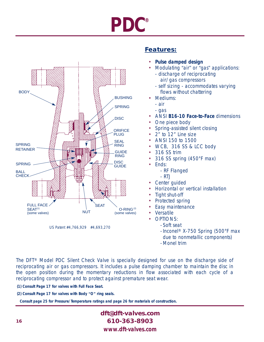# **PDC®**



US Patent #4,766,929 #4,693,270

# **Features:**

- **Pulse damped design**
- Modulating "air" or "gas" applications:
	- discharge of reciprocating air/gas compressors
	- self sizing accommodates varying flows without chattering
- Mediums:
	- air
	- gas
- ANSI **B16-10 Face-to-Face** dimensions
- One piece body
- Spring-assisted silent closing
- 2" to 12" Line size
- ANSI 150 to 1500
- WCB, 316 SS & LCC body
- 316 SS trim
- 316 SS spring (450°F max)
- Ends:
	- RF Flanged
	- RTJ
	- Center quided
- Horizontal or vertical installation
- Tight shut-off
- Protected spring
- Easy maintenance
- **Versatile**
- OPTIONS:
	- Soft seat
	- Inconel® X-750 Spring (500°F max due to nonmetallic components)
	- Monel trim

The DFT® Model PDC Silent Check Valve is specially designed for use on the discharge side of reciprocating air or gas compressors. It includes a pulse damping chamber to maintain the disc in the open position during the momentary reductions in flow associated with each cycle of a reciprocating compressor and to protect against premature seat wear.

- **(1) Consult Page 17 for valves with Full Face Seat.**
- **(2) Consult Page 17 for valves with Body "O" ring seals.**

**Consult page 25 for Pressure/Temperature ratings and page 26 for materials of construction.**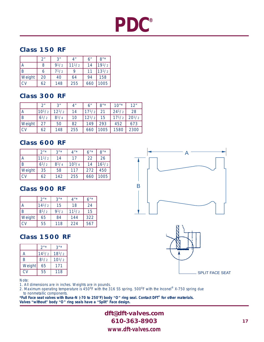# **PDC®**

### **Class 150 RF**

|        | 2 <sup>n</sup> | 3"        | 4 <sup>n</sup> | 6"  | $8"$ *     |
|--------|----------------|-----------|----------------|-----|------------|
| А      | 8              | 91/2      | $11^{1/2}$     | 14  | $19^{1}/2$ |
| B      | 6              | $7^{1/2}$ | Q              |     | $13^{1}/2$ |
| Weight | 20             | 40        | 64             | 94  | 158        |
| CV     | 62             | 148       | 255            | 660 | 1005       |

# **Class 300 RF**

|        | 2 <sup>n</sup> | 3"         | 4 <sup>n</sup> | 6"         | $8"$ * | $10^{7*}$  | 12"        |
|--------|----------------|------------|----------------|------------|--------|------------|------------|
| А      | $10^{1/2}$     | $12^{1/2}$ | 14             | 171/2      | 21     | $24^{1/2}$ | 28         |
| B      | $6^{1/2}$      | $8^{1}/4$  | 10             | $12^{1/2}$ | 15     | $17^{1/2}$ | $20^{1/2}$ |
| Weight | 27             | 50         | 82             | 149        | 293    | 452        | 673        |
| CV     | 62             | 148        | 255            | 660        | 1005   | 1580       | 2300       |

# **Class 600 RF**

|                | $2^{\mu *}$ | $2^{\mu\star}$ | 4"         | $6"$ * | $R^{\prime\prime\star}$ |
|----------------|-------------|----------------|------------|--------|-------------------------|
| $\overline{A}$ | 111/2       | 14             | 17         | 22     | 26                      |
| B              | $6^{1/2}$   | $8^{1}/4$      | $10^{3}/4$ | 14     | $16^{1/2}$              |
| Weight         | 35          | 58             | 117        | 272    | 450                     |
| CV             | 62          | 142            | 255        | 660    | 1005                    |

# **Class 900 RF**

|        | $2^{\frac{n}{2}}$ | $3''*$ | $4"$ *     | $6"$ * |
|--------|-------------------|--------|------------|--------|
|        | $14^{1/2}$        | 15     | 18         | 24     |
| B      | $8^{1/2}$         | 91/2   | $11^{1/2}$ | 15     |
| Weight | 65                | 84     | 144        | 322    |
| CV     | 55                | 118    | 224        | 567    |

# **Class 1500 RF**

|        | $2^{n*}$   | 3"         |
|--------|------------|------------|
| А      | $14^{1/2}$ | $18^{1}/2$ |
| B      | $8^{1/2}$  | $10^{1/2}$ |
| Weight | 65         | 171        |
| CV     | 55         | 118        |

Note:

1. All dimensions are in inches. Weights are in pounds.

2. Maximum operating temperature is 450<sup>o</sup>F with the 316 SS spring. 500<sup>o</sup>F with the Inconel® X-750 spring due to nonmetallic components.

**\*Full Face seat valves with Buna-N (-70 to 250°F) body "O" ring seal. Contact DFT® for other materials. Valves "without" body "O" ring seals have a "Split" Face design.**

> **dft@dft-valves.com 610-363-8903** *www.dft-valves.com*





**17**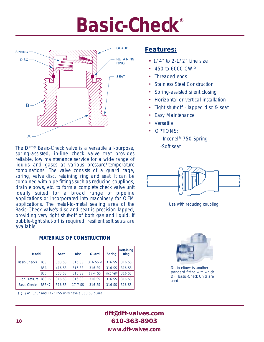# **Basic-Check®**



The DFT<sup>®</sup> Basic-Check valve is a versatile all-purpose, Soft seat spring-assisted, in-line check valve that provides reliable, low maintenance service for a wide range of liquids and gases at various pressure/temperature combinations. The valve consists of a guard cage, spring, valve disc, retaining ring and seat. It can be combined with pipe fittings such as reducing couplings, drain elbows, etc. to form a complete check valve unit ideally suited for a broad range of pipeline applications or incorporated into machinery for OEM applications. The metal-to-metal sealing area of the Basic-Check valve's disc and seat is precision lapped, providing very tight shut-off of both gas and liquid. If bubble-tight shut-off is required, resilient soft seats are available.

**MATERIALS OF CONSTRUCTION**

| <b>Model</b>        |              | <b>Seat</b> | <b>Disc</b> | <b>Guard</b> | <b>Spring</b>        | Retaining<br><b>Ring</b> |
|---------------------|--------------|-------------|-------------|--------------|----------------------|--------------------------|
| <b>Basic-Checks</b> | <b>BSS</b>   | 303 SS      | 316 SS      | 316 SS(1)    | 316 SS               | 316 SS                   |
|                     | <b>BSA</b>   | 416 SS      | 316 SS      | 316 SS       | 316 SS               | 316 SS                   |
|                     | <b>BSE</b>   | 303 SS      | 316 SS      | 17-4 SS      | Inconel <sup>®</sup> | 316 SS                   |
| High Pressure BSSH6 |              | 316 SS      | 316 SS      | 316 SS       | 316 SS               | 316 SS                   |
| <b>Basic-Checks</b> | <b>BSSH7</b> | 316 SS      | $17-7$ SS   | 316 SS       | 316 SS               | 316 SS                   |

(1) 1/4", 3/8" and 1/2" BSS units have a 303 SS guard

### **Features:**

- **•** 1/4" to 2-1/2" Line size
- 450 to 6000 CWP
- Threaded ends
- Stainless Steel Construction
- Spring-assisted silent closing
- Horizontal or vertical installation
- Tight shut-off lapped disc & seat
- **Easy Maintenance**
- **Versatile**
- OPTIONS:
	- Inconel® 750 Spring



Use with reducing coupling.



Drain elbow is another standard fitting with which DFT Basic-Check Units are used.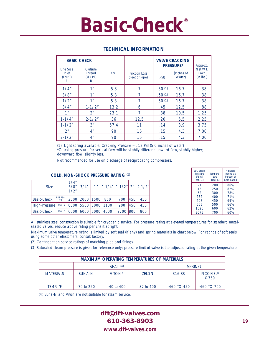# **Basic-Check®**

| <b>BASIC CHECK</b>                |                                         |           |                                        | <b>VALVE CRACKING</b>                             | Approx. |                                |
|-----------------------------------|-----------------------------------------|-----------|----------------------------------------|---------------------------------------------------|---------|--------------------------------|
| Line Size<br>Inlet<br>(FNPT)<br>A | Outside<br><b>Thread</b><br>(MNPT)<br>B | <b>CV</b> | <b>Friction Loss</b><br>(Feet of Pipe) | <b>PRESSURE*</b><br>(Inches of<br>Water)<br>(PSI) |         | Net WT.<br>Each<br>$(ln$ lbs.) |
| 1/4"                              | 1"                                      | 5.8       | 7                                      | .60(1)                                            | 16.7    | .38                            |
| 3/8"                              | 1 <sub>II</sub>                         | 5.8       | 7                                      | .60(1)                                            | 16.7    | .38                            |
| 1/2"                              | 1"                                      | 5.8       | 7                                      | .60(1)                                            | 16.7    | .38                            |
| 3/4"                              | $1 - 1/2"$                              | 13.2      | 6                                      | .45                                               | 12.5    | .88                            |
| 1 <sup>n</sup>                    | 2 <sup>n</sup>                          | 23.1      | 7                                      | .38                                               | 10.5    | 1.25                           |
| $1 - 1/4"$                        | $2 - 1/2"$                              | 36        | 12.5                                   | .20                                               | 5.5     | 2.25                           |
| $1 - 1/2"$                        | 3 <sup>n</sup>                          | 57.4      | 11                                     | .14                                               | 3.9     | 3.75                           |
| 2 <sup>n</sup>                    | 4 <sup>n</sup>                          | 90        | 16                                     | .15                                               | 4.3     | 7.00                           |
| $2 - 1/2"$                        | 4 <sup>n</sup>                          | 90        | 16                                     | .15                                               | 4.3     | 7.00                           |

#### **TECHNICAL INFORMATION**

(1) Light spring available: Cracking Pressure = . 18 PSI (5.0 inches of water)

\*Cracking pressure for vertical flow will be slightly different: upward flow, slightly higher; downward flow, slightly less.

Not recommended for use on discharge of reciprocating compressors.

#### **COLD, NON-SHOCK PRESSURE RATING** (2)

| <b>Size</b>        |                              | 1/4"<br>3/8"<br>1/2" | 3/4"                | 1 <sup>n</sup> | $\left 1-1/4''\right 1-1/2''$ 2" $\left 2-1/2''\right $ |      |      |     |
|--------------------|------------------------------|----------------------|---------------------|----------------|---------------------------------------------------------|------|------|-----|
| <b>Basic-Check</b> | <b>BSS BSA</b><br><b>BSF</b> |                      | 2500 2000 1500      |                | 850                                                     | 700  | 450  | 450 |
| High-Pressure      | BSSH6                        |                      | 6000 5500 3000      |                | 1100                                                    | 900  | 450  | 450 |
| <b>Basic-Check</b> | <b>BSSH7</b>                 |                      | 16000 16000 16000 1 |                | 4000                                                    | 2700 | 1800 | 800 |

| Sat. Steam<br>Pressure<br>(PSIG)<br>Ref. (3) | Tempera-<br>ture<br>(Deg. F.) | Adjusted<br>Rating as<br>Percent of<br><b>Cold Rating</b> |
|----------------------------------------------|-------------------------------|-----------------------------------------------------------|
| -3                                           | 200                           | 86%                                                       |
| 15                                           | 250                           | 82%                                                       |
| 52                                           | 300                           | 78%                                                       |
| 232                                          | 400                           | 71%                                                       |
| 407                                          | 450                           | 69%                                                       |
| 665                                          | 500                           | 66%                                                       |
| 1526                                         | 600                           | 62%                                                       |
| 3075                                         | 700                           | 60%                                                       |

All stainless steel construction is suitable for cryogenic service. For pressure rating at elevated temperatures for standard metalseated valves, reduce above rating per chart at right.

Maximum valve temperature rating is limited by soft seal (if any) and spring materials in chart below. For ratings of soft seals using some other elastomers, consult factory.

(2) Contingent on service ratings of matching pipe and fittings.

(3) Saturated steam pressure is given for reference only; pressure limit of valve is the adjusted rating at the given temperature.

| <b>MAXIMUM OPERATING TEMPERATURES OF MATERIALS</b> |               |                |                          |                 |             |  |  |  |  |  |
|----------------------------------------------------|---------------|----------------|--------------------------|-----------------|-------------|--|--|--|--|--|
| SFAI (4)<br><b>SPRING</b>                          |               |                |                          |                 |             |  |  |  |  |  |
| <b>MATERIALS</b>                                   | <b>BUNA-N</b> | 316 SS         | <b>INCONEL®</b><br>X-750 |                 |             |  |  |  |  |  |
| TEMP. °F                                           | $-70$ to 250  | $-40$ to $400$ | 37 to 400                | $-460$ TO $450$ | -460 TO 700 |  |  |  |  |  |

(4) Buna-N and Viton are not suitable for steam service.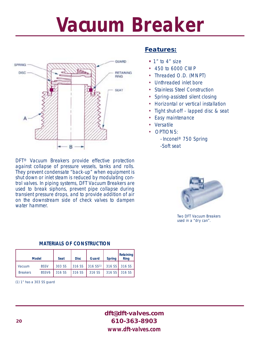# **Vacuum Breaker**



DFT® Vacuum Breakers provide effective protection against collapse of pressure vessels, tanks and rolls. They prevent condensate "back-up" when equipment is shut down or inlet steam is reduced by modulating control valves. In piping systems, DFT Vacuum Breakers are used to break siphons, prevent pipe collapse during transient pressure drops, and to provide addition of air on the downstream side of check valves to dampen water hammer.

### **Features:**

- **•** 1" to 4" size
- 450 to 6000 CWP
- Threaded O.D. (MNPT)
- Unthreaded inlet bore
- Stainless Steel Construction
- Spring-assisted silent closing
- Horizontal or vertical installation
- Tight shut-off lapped disc & seat
- Easy maintenance
- Versatile
- OPTIONS:
	- Inconel® 750 Spring -Soft seat



Two DFT Vacuum Breakers used in a "dry can".

#### **MATERIALS OF CONSTRUCTION**

| <b>Model</b>    |                   | <b>Seat</b> | <b>Disc</b> | Guard                                                                  | <b>Spring</b> | Retaining<br><b>Ring</b> |
|-----------------|-------------------|-------------|-------------|------------------------------------------------------------------------|---------------|--------------------------|
| Vacuum          | <b>BSSV</b>       |             |             | 303 SS 316 SS 316 SS(1) 316 SS 316 SS                                  |               |                          |
| <b>Breakers</b> | BSSV <sub>6</sub> | 316 SS      |             | $ 316 \text{ SS}   316 \text{ SS}   316 \text{ SS}   316 \text{ SS}  $ |               |                          |

(1) 1" has a 303 SS guard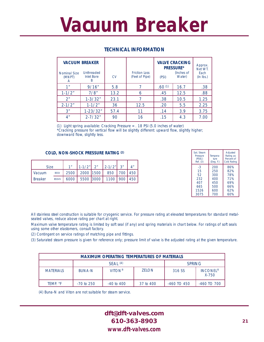# **Vacuum Breaker**

| <b>Nominal Size</b><br>(MNPT)<br>A | <b>VACUUM BREAKER</b><br><b>Unthreaded</b><br><b>Inlet Bore</b><br>B | <b>CV</b> | <b>Friction Loss</b><br>(Feet of Pipe) | <b>VALVE CRACKING</b><br><b>PRESSURE*</b><br>(Inches of<br>Water)<br>(PSI) |      | Approx.<br>Net WT.<br>Each<br>$(ln$ lbs.) |
|------------------------------------|----------------------------------------------------------------------|-----------|----------------------------------------|----------------------------------------------------------------------------|------|-------------------------------------------|
| 1 11                               | 9/16"                                                                | 5.8       |                                        | .60(1)                                                                     | 16.7 | .38                                       |
| $1 - 1/2"$                         | 7/8"                                                                 | 13.2      | 6                                      | .45                                                                        | 12.5 | .88                                       |
| 2 <sup>n</sup>                     | $1 - 3/32"$                                                          | 23.1      |                                        | .38                                                                        | 10.5 | 1.25                                      |
| $2 - 1/2"$                         | $1 - 1/2"$                                                           | 36        | 12.5                                   | .20                                                                        | 5.5  | 2.25                                      |
| 3"                                 | $1 - 23/32"$                                                         | 57.4      | 11                                     | .14                                                                        | 3.9  | 3.75                                      |
| 4 <sup>n</sup>                     | $2 - 7/32"$                                                          | 90        | 16                                     | .15                                                                        | 4.3  | 7.00                                      |

### **TECHNICAL INFORMATION**

(1) Light spring available: Cracking Pressure = . 18 PSI (5.0 inches of water) \*Cracking pressure for vertical flow will be slightly different: upward flow, slightly higher; downward flow, slightly less.

#### **COLD, NON-SHOCK PRESSURE RATING (2)**

| <b>Size</b>    |              | 1 <sup>''</sup> |  | $1 - 1/2$ " 2" 2-1/2" 3"              |  |
|----------------|--------------|-----------------|--|---------------------------------------|--|
| I Vacuum       | BSSV         |                 |  | 2500   2000   1500   850   700   450  |  |
| <b>Breaker</b> | <b>BSSV6</b> |                 |  | 6000   5500   3000   1100   900   450 |  |

| Sat. Steam<br>Pressure<br>(PSIG)<br>Ref. (3) | Tempera-<br>ture<br>(Deg. F.) | Adjusted<br>Rating as<br>Percent of<br><b>Cold Rating</b> |
|----------------------------------------------|-------------------------------|-----------------------------------------------------------|
| -3                                           | 200                           | 86%                                                       |
| 15                                           | 250                           | 82%                                                       |
| 52                                           | 300                           | 78%                                                       |
| 232                                          | 400                           | 71%                                                       |
| 407                                          | 450                           | 69%                                                       |
| 665                                          | 500                           | 66%                                                       |
| 1526                                         | 600                           | 62%                                                       |
| 3075                                         | 700                           | 60%                                                       |

All stainless steel construction is suitable for cryogenic service. For pressure rating at elevated temperatures for standard metalseated valves, reduce above rating per chart at right.

Maximum valve temperature rating is limited by soft seal (if any) and spring materials in chart below. For ratings of soft seals using some other elastomers, consult factory.

(2) Contingent on service ratings of matching pipe and fittings.

(3) Saturated steam pressure is given for reference only; pressure limit of valve is the adjusted rating at the given temperature.

| <b>MAXIMUM OPERATING TEMPERATURES OF MATERIALS</b> |               |                |              |                 |                          |  |  |  |  |  |  |
|----------------------------------------------------|---------------|----------------|--------------|-----------------|--------------------------|--|--|--|--|--|--|
| SFAI (4)<br><b>SPRING</b>                          |               |                |              |                 |                          |  |  |  |  |  |  |
| <b>MATERIALS</b>                                   | <b>BUNA-N</b> | <b>VITON®</b>  | <b>ZELON</b> | 316 SS          | <b>INCONEL®</b><br>X-750 |  |  |  |  |  |  |
| TEMP. °F                                           | $-70$ to 250  | $-40$ to $400$ | 37 to 400    | $-460$ TO $450$ | -460 TO 700              |  |  |  |  |  |  |

(4) Buna-N and Viton are not suitable for steam service.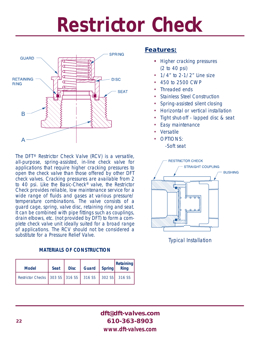# **Restrictor Check**



The DFT® Restrictor Check Valve (RCV) is a versatile, all-purpose, spring-assisted, in-line check valve for applications that require higher cracking pressures to open the check valve than those offered by other DFT check valves. Cracking pressures are available from 2 to 40 psi. Like the Basic-Check® valve, the Restrictor Check provides reliable, low maintenance service for a wide range of fluids and gases at various pressure/ temperature combinations. The valve consists of a guard cage, spring, valve disc, retaining ring and seat. It can be combined with pipe fittings such as couplings, drain elbows, etc. (not provided by DFT) to form a complete check valve unit ideally suited for a broad range of applications. The RCV should not be considered a substitute for a Pressure Relief Valve.

### **MATERIALS OF CONSTRUCTION**

| <b>Model</b>                                         | <b>Seat</b> | <b>Disc</b> | Guard   Spring | <b>Retaining</b><br>Ring |
|------------------------------------------------------|-------------|-------------|----------------|--------------------------|
| Restrictor Checks 303 SS 316 SS 316 SS 302 SS 316 SS |             |             |                |                          |

### **Features:**

- **•** Higher cracking pressures (2 to 40 psi)
- $\cdot$  1/4" to 2-1/2" Line size
- 450 to 2500 CWP
- Threaded ends
- **Stainless Steel Construction**
- Spring-assisted silent closing
- Horizontal or vertical installation
- Tight shut-off lapped disc & seat
- Easy maintenance
- **Versatile**
- OPTIONS: -Soft seat



Typical Installation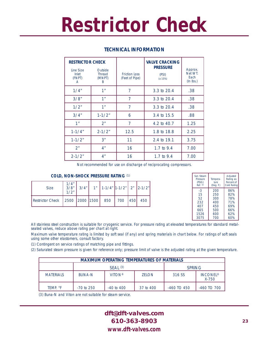# **Restrictor Check**

| <b>RESTRICTOR CHECK</b><br>Line Size<br>Inlet | Outside<br><b>Thread</b> | <b>Friction Loss</b> | <b>VALVE CRACKING</b><br><b>PRESSURE</b> | Approx.<br>Net WT.  |
|-----------------------------------------------|--------------------------|----------------------|------------------------------------------|---------------------|
| (FNPT)<br>A                                   | (MNPT)<br>B.             | (Feet of Pipe)       | (PSI)<br>(± 10%)                         | Each<br>$(ln$ lbs.) |
| 1/4"                                          | 1 <sup>n</sup>           | 7                    | 3.3 to 20.4                              | .38                 |
| 3/8"                                          | 1 <sup>n</sup>           | $\overline{7}$       | 3.3 to 20.4                              | .38                 |
| 1/2"                                          | 1 <sup>n</sup>           | 7                    | 3.3 to 20.4                              | .38                 |
| 3/4"                                          | $1 - 1/2"$               | 6                    | 3.4 to 15.5                              | .88                 |
| 1"                                            | 2 <sup>n</sup>           | 7                    | 4.2 to 40.7                              | 1.25                |
| $1 - 1/4"$                                    | $2 - 1/2"$               | 12.5                 | 1.8 to 18.8                              | 2.25                |
| $1 - 1/2"$                                    | 3 <sup>''</sup>          | 11                   | 2.4 to 19.1                              | 3.75                |
| 2 <sup>n</sup>                                | 4 <sup>n</sup>           | 16                   | 1.7 to 9.4                               | 7.00                |
| $2 - 1/2"$                                    | 4 <sup>n</sup>           | 16                   | 1.7 to 9.4                               | 7.00                |

### **TECHNICAL INFORMATION**

Not recommended for use on discharge of reciprocating compressors.

#### **COLD, NON-SHOCK PRESSURE RATING** (1)

| <b>Size</b>                                       | $\frac{1}{4}$ "<br>$\frac{3}{8}$ "<br>1/2" |  | $3/4"$ 1" 1-1/4" 1-1/2"   2"   2-1/2" |  |             |
|---------------------------------------------------|--------------------------------------------|--|---------------------------------------|--|-------------|
| Restrictor Check   2500   2000   1500   850   700 |                                            |  |                                       |  | $ 450 $ 450 |

| Sat. Steam<br>Pressure<br>(PSIG)<br>Ref. (2) | Tempera-<br>ture<br>(Deq. F.) | Adjusted<br>Rating as<br>Percent of<br><b>Cold Rating</b> |
|----------------------------------------------|-------------------------------|-----------------------------------------------------------|
| $-3$                                         | 200                           | 86%                                                       |
| 15                                           | 250                           | 82%                                                       |
| 52                                           | 300                           | 78%                                                       |
| 232                                          | 400                           | 71%                                                       |
| 407                                          | 450                           | 69%                                                       |
| 665                                          | 500                           | 66%                                                       |
| 1526                                         | 600                           | 62%                                                       |
| 3075                                         | 700                           | 60%                                                       |

All stainless steel construction is suitable for cryogenic service. For pressure rating at elevated temperatures for standard metalseated valves, reduce above rating per chart at right.

Maximum valve temperature rating is limited by soft seal (if any) and spring materials in chart below. For ratings of soft seals using some other elastomers, consult factory.

(1) Contingent on service ratings of matching pipe and fittings.

(2) Saturated steam pressure is given for reference only; pressure limit of valve is the adjusted rating at the given temperature.

| <b>MAXIMUM OPERATING TEMPERATURES OF MATERIALS</b> |               |                |               |                          |             |  |  |  |
|----------------------------------------------------|---------------|----------------|---------------|--------------------------|-------------|--|--|--|
|                                                    |               | $SEAI$ (3)     | <b>SPRING</b> |                          |             |  |  |  |
| <b>MATERIALS</b>                                   | <b>BUNA-N</b> | <b>VITON®</b>  | 316 SS        | <b>INCONEL®</b><br>X-750 |             |  |  |  |
| TEMP. °F                                           | $-70$ to 250  | $-40$ to $400$ | 37 to 400     | $-460$ TO $450$          | -460 TO 700 |  |  |  |

(3) Buna-N and Viton are not suitable for steam service.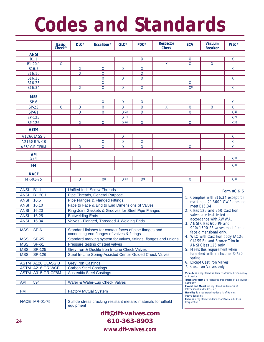# **Codes and Standards**

|                    | <b>Basic-</b><br>Check <sup>®</sup> | $DLC^{\circledR}$       | Excalibur <sup>®</sup>  | $GLC^{\circledast}$ | <b>PDC®</b>             | <b>Restrictor</b><br><b>Check</b> | <b>SCV</b>              | <b>Vacuum</b><br><b>Breaker</b> | <b>WLC®</b>        |
|--------------------|-------------------------------------|-------------------------|-------------------------|---------------------|-------------------------|-----------------------------------|-------------------------|---------------------------------|--------------------|
| <b>ANSI</b>        |                                     |                         |                         |                     |                         |                                   |                         |                                 |                    |
| <b>B1.1</b>        |                                     |                         |                         |                     | $\overline{X}$          |                                   | $\mathsf{X}$            |                                 | $\overline{X}$     |
| B1.20.1            | $\mathsf{X}$                        |                         |                         |                     |                         | $\overline{X}$                    | $\overline{\mathsf{x}}$ | $\mathsf{X}$                    |                    |
| B <sub>16.5</sub>  |                                     | $\mathsf{X}$            | $\mathsf{X}$            | $\mathsf{X}$        | $\overline{X}$          |                                   |                         |                                 | $\mathsf{X}$       |
| B16.10             |                                     | $\mathsf{X}$            | $\mathsf X$             |                     | $\mathsf{X}$            |                                   |                         |                                 |                    |
| B <sub>16.20</sub> |                                     |                         | $\overline{X}$          | $\mathsf{X}$        | $\mathsf{X}$            |                                   |                         |                                 | $\mathsf{X}$       |
| B16.25             |                                     |                         | $\mathsf X$             |                     |                         |                                   | X                       |                                 |                    |
| B16.34             |                                     | $\overline{\mathsf{x}}$ | $\overline{\mathsf{X}}$ | $\overline{X}$      | $\overline{\mathsf{X}}$ |                                   | $\chi(1)$               |                                 | $\overline{X}$     |
| <b>MSS</b>         |                                     |                         |                         |                     |                         |                                   |                         |                                 |                    |
| $SP-6$             |                                     |                         | $\mathsf{X}$            | $\mathsf{X}$        | $\mathsf X$             |                                   |                         |                                 | $\mathsf{X}$       |
| $SP-25$            | $\mathsf{X}$                        | X                       | X                       | $\mathsf{X}$        | $\overline{X}$          | $\mathsf{X}$                      | $\pmb{\mathsf{X}}$      | $\mathsf{X}$                    | X                  |
| $SP-61$            |                                     | $\mathsf{X}$            | $\mathsf X$             | X(2)                | $\mathsf X$             |                                   | $\mathsf{X}$            |                                 | X(2)               |
| SP-125             |                                     |                         |                         | X(7)                |                         |                                   |                         |                                 | X(7)               |
| SP-126             |                                     | $\mathsf{X}$            | $\overline{X}$          | X(6)                | X                       |                                   | X                       |                                 | X(6)               |
| <b>ASTM</b>        |                                     |                         |                         |                     |                         |                                   |                         |                                 |                    |
| A126CLASS B        |                                     |                         |                         | $\mathsf{X}$        |                         |                                   |                         |                                 | $\mathsf{X}% _{0}$ |
| A216GR WCB         |                                     |                         | X                       | $\mathsf{X}% _{0}$  | $\mathsf{X}% _{0}$      |                                   |                         |                                 | $\mathsf{X}$       |
| A351GR CF8M        |                                     | X                       | $\overline{X}$          | $\mathsf{X}$        | X                       |                                   | X                       |                                 | $\overline{X}$     |
| <b>APL</b>         |                                     |                         |                         |                     |                         |                                   |                         |                                 |                    |
| 594                |                                     |                         |                         |                     |                         |                                   |                         |                                 | X(3)               |
| <b>FM</b>          |                                     |                         |                         |                     |                         |                                   |                         |                                 | X(4)               |
| <b>NACE</b>        |                                     |                         |                         |                     |                         |                                   |                         |                                 |                    |
| MR-01-75           |                                     | X                       | X(5)                    | X(5)                | X(5)                    |                                   | X                       |                                 | X(5)               |

| <b>ANSI</b><br><b>B1.1</b>  | Unified Inch Screw Threads                                                                             | Form $#C$ & S                                                                    |
|-----------------------------|--------------------------------------------------------------------------------------------------------|----------------------------------------------------------------------------------|
| B <sub>1.20.1</sub><br>ANSI | Pipe Threads, General Purpose                                                                          |                                                                                  |
| <b>ANSI</b><br>16.5         | Pipe Flanges & Flanged Fittings.                                                                       | 1. Complies with B16.34 except for<br>markings. 2" 3600 CWP does n               |
| 16.10<br><b>ANSI</b>        | Face to Face & End to End Dimensions of Valves                                                         | meet B16.34.                                                                     |
| <b>ANSI</b><br>16.20        | Ring-Joint Gaskets & Grooves for Steel Pipe Flanges                                                    | 2. Class 125 and 250 Cast Iron                                                   |
| <b>ANSI</b><br>16.25        | <b>Buttwelding Ends</b>                                                                                | valves are leak tested in                                                        |
| <b>ANSI</b><br>16.34        | Valves - Flanged, Threaded & Welding Ends                                                              | accordance with AWWA.                                                            |
|                             |                                                                                                        | 3. ANSI Class 600 RF and<br>900/1500 RF valves meet face t                       |
| $SP-6$<br><b>MSS</b>        | Standard finishes for contact faces of pipe flanges and<br>connecting end flanges of valves & fittings | face dimensional only.<br>4. WLC with Cast Iron body (A126                       |
| <b>SP-25</b><br><b>MSS</b>  | Standard marking system for valves, fittings, flanges and unions                                       | CLASS B), and Bronze Trim in                                                     |
| <b>SP-61</b><br><b>MSS</b>  | Pressure testing of steel valves                                                                       | ANSI Class 125 only.                                                             |
| <b>SP-125</b><br><b>MSS</b> | Grey Iron & Ductile Iron In-Line Check Valves                                                          | 5. Meets this requirement when                                                   |
| <b>MSS</b><br>SP-126        | Steel In-Line Spring-Assisted Center Guided Check Valves                                               | furnished with an Inconel X-750                                                  |
|                             |                                                                                                        | spring.                                                                          |
| <b>ASTM A126 CLASS B</b>    | <b>Grey Iron Castings</b>                                                                              | 6. Except Cast Iron Valves<br>7. Cast Iron Valves only.                          |
| <b>ASTM A216 GR WCB</b>     | <b>Carbon Steel Castings</b>                                                                           |                                                                                  |
| ASTM A315 GR CF8M           | <b>Austenitic Steel Castings</b>                                                                       | Victaulic is a registered trademark of Victaulic Compa<br>of America             |
|                             |                                                                                                        | Teflon and Viton are registered trademarks of E.I. Du                            |
| API<br>594                  | Wafer & Wafer-Lug Check Valves                                                                         | Company                                                                          |
|                             |                                                                                                        | Inconel and Monel are registered trademarks of<br>International Nickle Co., Inc. |
| <b>FM</b>                   | <b>Factory Mutual System</b>                                                                           | Hastelloy is a registered trademark of Haynes                                    |
|                             |                                                                                                        | International Inc.                                                               |
| <b>NACE MR-01-75</b>        | Sulfide stress cracking resistant metallic materials for oilfield<br>equipment                         | <b>Rulon</b> is a registered trademark of Dixon Industries<br>Corporation        |

- 2. Class 125 and 250 Cast Iron valves are leak tested in accordance with AWWA.
- 3. ANSI Class 600 RF and 900/1500 RF valves meet face to face dimensional only.
- 4. WLC with Cast Iron body (A126 CLASS B), and Bronze Trim in ANSI Class 125 only.
- 5. Meets this requirement when furnished with an Inconel X-750 spring.
- 6. Except Cast Iron Valves
- 7. Cast Iron Valves only.

*Victaulic* is a registered trademark of Victaulic Company of America *Teflon and Viton* are registered trademarks of E.I. Dupont

# **dft@dft-valves.com 610-363-8903**

*www.dft-valves.com*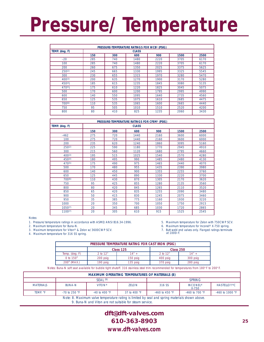# **Pressure/Temperature**

| PRESSURE-TEMPERATURE RATINGS FOR WCB1 (PSIG) |     |              |      |      |      |      |  |  |  |
|----------------------------------------------|-----|--------------|------|------|------|------|--|--|--|
| TEMP. (deg. F)                               |     | <b>CLASS</b> |      |      |      |      |  |  |  |
|                                              | 150 | 300          | 600  | 900  | 1500 | 2500 |  |  |  |
| $-20$                                        | 285 | 740          | 1480 | 2220 | 3705 | 6170 |  |  |  |
| 100                                          | 285 | 740          | 1480 | 2220 | 3705 | 6170 |  |  |  |
| 200                                          | 260 | 675          | 1350 | 2025 | 3375 | 5625 |  |  |  |
| 250(2)                                       | 245 | 665          | 1330 | 1995 | 3325 | 5545 |  |  |  |
| 300                                          | 230 | 655          | 1315 | 1970 | 3280 | 5470 |  |  |  |
| $400^{(3)}$                                  | 200 | 635          | 1270 | 1900 | 3170 | 5280 |  |  |  |
| $450^{(4)}$                                  | 185 | 615          | 1235 | 1845 | 3080 | 5135 |  |  |  |
| 470(5)                                       | 175 | 610          | 1220 | 1825 | 3045 | 5075 |  |  |  |
| 500                                          | 170 | 600          | 1200 | 1795 | 2995 | 4990 |  |  |  |
| 600                                          | 140 | 550          | 1095 | 1640 | 2735 | 4560 |  |  |  |
| 650                                          | 125 | 535          | 1075 | 1610 | 2685 | 4475 |  |  |  |
| $700^{(6)}$                                  | 110 | 535          | 1065 | 1600 | 2665 | 4440 |  |  |  |
| 750                                          | 95  | 505          | 1010 | 1510 | 2520 | 4200 |  |  |  |
| 800                                          | 80  | 410          | 825  | 1235 | 2060 | 3430 |  |  |  |

|                | PRESSURE-TEMPERATURE RATINGS FOR CF8M1 (PSIG) |     |      |      |      |      |  |  |
|----------------|-----------------------------------------------|-----|------|------|------|------|--|--|
| TEMP. (deg. F) | <b>CLASS</b>                                  |     |      |      |      |      |  |  |
|                | 150                                           | 300 | 600  | 900  | 1500 | 2500 |  |  |
| $-462$         | 275                                           | 720 | 1440 | 2160 | 3600 | 6000 |  |  |
| 100            | 275                                           | 720 | 1440 | 2160 | 3600 | 6000 |  |  |
| 200            | 235                                           | 620 | 1240 | 1860 | 3095 | 5160 |  |  |
| 250(2)         | 225                                           | 590 | 1180 | 1770 | 2945 | 4910 |  |  |
| 300            | 215                                           | 560 | 1120 | 1680 | 2795 | 4660 |  |  |
| $400^{(3)}$    | 195                                           | 515 | 1025 | 1540 | 2570 | 4280 |  |  |
| $450^{(4)}$    | 180                                           | 495 | 990  | 1485 | 2480 | 4130 |  |  |
| 470(5)         | 175                                           | 490 | 975  | 1465 | 2440 | 4070 |  |  |
| 500            | 170                                           | 480 | 955  | 1435 | 2390 | 3980 |  |  |
| 600            | 140                                           | 450 | 900  | 1355 | 2255 | 3760 |  |  |
| 650            | 125                                           | 445 | 890  | 1330 | 2220 | 3700 |  |  |
| 700(6)         | 110                                           | 430 | 870  | 1305 | 2170 | 3620 |  |  |
| 750            | 95                                            | 425 | 855  | 1280 | 2135 | 3560 |  |  |
| 800            | 80                                            | 420 | 845  | 1265 | 2110 | 3520 |  |  |
| 850            | 65                                            | 420 | 835  | 1255 | 2090 | 3480 |  |  |
| 900            | 50                                            | 415 | 830  | 1245 | 2075 | 3460 |  |  |
| 950            | 35                                            | 385 | 775  | 1160 | 1930 | 3220 |  |  |
| 1000           | 20                                            | 350 | 700  | 1050 | 1750 | 2915 |  |  |
| $1050^{(7)}$   | 20                                            | 345 | 685  | 1030 | 1720 | 2865 |  |  |
| $1100^{(7)}$   | 20                                            | 305 | 610  | 915  | 1525 | 2545 |  |  |

Notes:

1. Pressure/temperature ratings in accordance with ASME/ANSI B16.34-1996.

2. Maximum temperature for Buna-N.

3. Maximum temperature for Viton® & Zelon w/3600CWP SCV.

4. Maximum temperature for 316 SS spring.

5. Maximum temperature for Zelon with 750CWP SCV.

6. Maximum temperature for Inconel® X-750 spring.

7. Butt weld end valves only. Flanged ratings terminate at 1000o F.

| PRESSURE TEMPERATURE RATING FOR CAST IRON (PSIG) |          |           |           |          |  |  |  |  |
|--------------------------------------------------|----------|-----------|-----------|----------|--|--|--|--|
|                                                  |          | Class 125 | Class 250 |          |  |  |  |  |
| Temp. (deg. F)                                   | 2 to 12" | $14" +$   | 2 to 12"  | $14" +$  |  |  |  |  |
| 0 to $150^\circ$                                 | 200 psig | 150 psig  | 400 psig  | 300 psig |  |  |  |  |
| $200^{\circ}$ (MAX.)                             | 190 psig | 135 psig  | 370 psig  | 280 psig |  |  |  |  |

Notes: Buna-N soft seat available for bubble tight shutoff. 316 stainless steel trim recommended for temperatures from 180°F to 200°F.

| <b>MAXIMUM OPERATING TEMPERATURES OF MATERIALS (8)</b>                                         |                                                                                           |                   |              |                    |                  |                    |  |  |
|------------------------------------------------------------------------------------------------|-------------------------------------------------------------------------------------------|-------------------|--------------|--------------------|------------------|--------------------|--|--|
| SEAL(9)<br><b>SPRING</b>                                                                       |                                                                                           |                   |              |                    |                  |                    |  |  |
| <b>MATERIALS</b>                                                                               | 316 SS<br>VITON <sup>®</sup><br><b>INCONEL®</b><br><b>BUNA-N</b><br><b>ZELON</b><br>X-750 |                   |              |                    |                  | <b>HASTELLOY®C</b> |  |  |
| TEMP. °F                                                                                       | $-70$ to 250 °F                                                                           | $-40$ to $400$ °F | 37 to 400 °F | $-460$ to $450$ °F | $-460$ to 700 °F | $-460$ to 1000 °F  |  |  |
| Note: 8. Maximum valve temperature rating is limited by seal and spring materials shown above. |                                                                                           |                   |              |                    |                  |                    |  |  |

9. Buna-N and Viton are not suitable for steam service.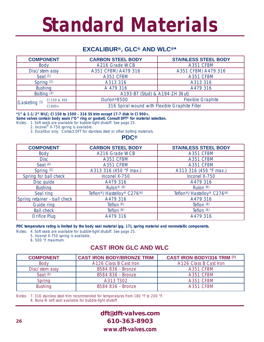# **Standard Materials**

# **EXCALIBUR®, GLC® AND WLC®\***

| <b>COMPONENT</b>         |              | <b>CARBON STEEL BODY</b>                       | <b>STAINLESS STEEL BODY</b> |  |  |  |
|--------------------------|--------------|------------------------------------------------|-----------------------------|--|--|--|
| <b>Body</b>              |              | A216 Grade WCB                                 | <b>A351 CF8M</b>            |  |  |  |
| Disc/stem assy           |              | A351 CF8M/A479 316                             | A351 CF8M/A479 316          |  |  |  |
| Seat $(1)$               |              | <b>A351 CF8M</b>                               | <b>A351 CF8M</b>            |  |  |  |
| Spring (2)               |              | A313 316                                       | A313 316                    |  |  |  |
| <b>Bushing</b>           |              | A 479 316                                      | A479 316                    |  |  |  |
| Bolting <sup>(3)</sup>   |              | A193-B7 (Stud) & A194-2H (Nut)                 |                             |  |  |  |
| Gasketing <sup>(3)</sup> | CI.150 & 300 | Durlon <sup>®</sup> 8500                       | <b>Flexible Graphite</b>    |  |  |  |
|                          | $Cl.600+$    | 316 Spiral wound with Flexible Graphite Filler |                             |  |  |  |

**\*1" & 1-1/2" WLC; Cl 150 to 1500 - 316 SS trim except 17-7 disk in Cl 900+.**

**Some valves contain body seals ("O" ring or gasket). Consult DFT® for material selection.**

Notes: 1. Soft seats are available for bubble-tight shutoff. See page 25.

2. Inconel® X-750 spring is available.

3. Excalibur only. Contact DFT for stainless steel or other bolting materials.

**PDC®**

| <b>COMPONENT</b>             | <b>CARBON STEEL BODY</b>                                        | <b>STAINLESS STEEL BODY</b>                                     |  |  |
|------------------------------|-----------------------------------------------------------------|-----------------------------------------------------------------|--|--|
| Body                         | A216 Grade WCB                                                  | <b>A351 CF8M</b>                                                |  |  |
| <b>Disc</b>                  | <b>A351 CF8M</b>                                                | <b>A351 CF8M</b>                                                |  |  |
| Seat $(4)$                   | <b>A351 CF8M</b>                                                | <b>A351 CF8M</b>                                                |  |  |
| Spring (5)                   | A313 316 (450 °F max.)                                          | A313 316 (450 °F max.)                                          |  |  |
| Spring for ball check        | Inconel X-750                                                   | Inconel X-750                                                   |  |  |
| Disc quide                   | A479 316                                                        | A479 316                                                        |  |  |
| <b>Bushing</b>               | Rulon <sup>®</sup> $(6)$                                        | Rulon (6)                                                       |  |  |
| Seal ring                    | Teflon <sup>®</sup> /Hastelloy <sup>®</sup> C276 <sup>(6)</sup> | Teflon <sup>®</sup> /Hastelloy <sup>®</sup> C276 <sup>(6)</sup> |  |  |
| Spring retainer - ball check | A479 316                                                        | A479 316                                                        |  |  |
| <b>Guide ring</b>            | Teflon (6)                                                      | Teflon (6)                                                      |  |  |
| <b>Ball check</b>            | Teflon (6)                                                      | Teflon (6)                                                      |  |  |
| <b>Orifice Plug</b>          | A479 316                                                        | A479 316                                                        |  |  |

**PDC temperature rating is limited by the body seal material (pg. 17), spring material and nonmetallic components.**

Notes: 4. Soft seats are available for bubble-tight shutoff. See page 25.

5. Inconel X-750 spring is available.

6. 500 °F maximum.

### **CAST IRON GLC AND WLC**

| <b>COMPONENT</b> | <b>CAST IRON BODY/BRONZE TRIM</b> | <b>CAST IRON BODY/316 TRIM (7)</b> |  |  |
|------------------|-----------------------------------|------------------------------------|--|--|
| <b>Body</b>      | A126 Class B Cast Iron            | A126 Class B Cast Iron             |  |  |
| Disc/stem assy   | B584 836 - Bronze                 | <b>A351 CF8M</b>                   |  |  |
| Seat $(8)$       | B584 836 - Bronze                 | <b>A351 CF8M</b>                   |  |  |
| Spring           | A313 T302                         | <b>A351 CF8M</b>                   |  |  |
| <b>Bushing</b>   | B584 836 - Bronze                 | <b>A351 CF8M</b>                   |  |  |

Notes: 7. 316 stainless steel trim recommended for temperatures from 180 °F to 200 °F. 8. Buna-N soft seat available for bubble-tight shutoff.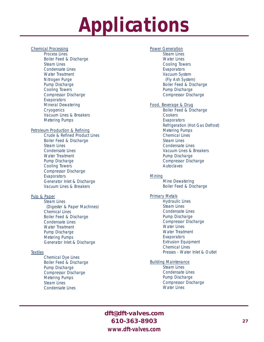# **Applications**

#### Chemical Processing

Process Lines Boiler Feed & Discharge Steam Lines Condensate Lines Water Treatment Nitrogen Purge Pump Discharge Cooling Towers Compressor Discharge **Evaporators** Mineral Dewatering **Cryogenics** Vacuum Lines & Breakers Metering Pumps

#### Petroleum Production & Refining

Crude & Refined Product Lines Boiler Feed & Discharge Steam Lines Condensate Lines Water Treatment Pump Discharge Cooling Towers Compressor Discharge **Evaporators** Generator Inlet & Discharge Vacuum Lines & Breakers

#### Pulp & Paper

Steam Lines (Digester & Paper Machines) Chemical Lines Boiler Feed & Discharge Condensate Lines Water Treatment Pump Discharge Metering Pumps Generator Inlet & Discharge

#### **Textiles**

Chemical Dye Lines Boiler Feed & Discharge Pump Discharge Compressor Discharge Metering Pumps Steam Lines Condensate Lines

#### Power Generation

Steam Lines Water Lines Cooling Towers **Evaporators** Vacuum System (Fly Ash System) Boiler Feed & Discharge Pump Discharge Compressor Discharge

#### Food, Beverage & Drug

Boiler Feed & Discharge **Cookers Evaporators** Refrigeration (Hot Gas Defrost) Metering Pumps Chemical Lines Steam Lines Condensate Lines Vacuum Lines & Breakers Pump Discharge Compressor Discharge Autoclaves

#### Mining

Mine Dewatering Boiler Feed & Discharge

#### Primary Metals

Hydraulic Lines Steam Lines Condensate Lines Pump Discharge Compressor Discharge Water Lines Water Treatment **Evaporators** Extrusion Equipment Chemical Lines Presses - Water Inlet & Outlet

#### Building Maintenance

Steam Lines Condensate Lines Pump Discharge Compressor Discharge Water Lines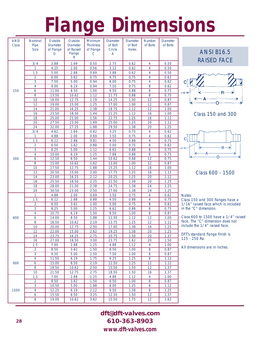# **Flange Dimensions**

| <b>ANSI</b><br><b>Class</b> | Nominal<br>Pipe<br><b>Size</b> | Outside<br><b>Diameter</b><br>of Flange<br>O | Outside<br>Diameter<br>of Raised<br>Flange | <b>Minimum</b><br><b>Thickness</b><br>of Flange<br>C | <b>Diameter</b><br>of Bolt<br>Circle<br>Α | <b>Diameter</b><br>of Bolt<br><b>Holes</b> | <b>Number</b><br>of Bolts | <b>Diameter</b><br>of Bolts |
|-----------------------------|--------------------------------|----------------------------------------------|--------------------------------------------|------------------------------------------------------|-------------------------------------------|--------------------------------------------|---------------------------|-----------------------------|
|                             |                                |                                              | R                                          |                                                      |                                           |                                            |                           |                             |
|                             | 3/4                            | 3.88                                         | 1.69                                       | 0.50                                                 | 2.75                                      | 0.62                                       | 4                         | 0.50                        |
| 150                         | 1                              | 4.25                                         | 2.00                                       | 0.56                                                 | 3.12                                      | 0.62                                       | $\overline{4}$            | 0.50                        |
|                             | 1.5                            | 5.00                                         | 2.88                                       | 0.69                                                 | 3.88                                      | 0.62                                       | $\overline{4}$            | 0.50                        |
|                             | 2                              | 6.00                                         | 3.62                                       | 0.75                                                 | 4.75                                      | 0.75                                       | 4                         | 0.62                        |
|                             | $\overline{3}$                 | 7.50                                         | 5.00                                       | 0.94                                                 | 6.00                                      | 0.75                                       | 4                         | 0.62                        |
|                             | $\overline{4}$                 | 9.00                                         | 6.19                                       | 0.94                                                 | 7.50                                      | 0.75                                       | 8                         | 0.62                        |
|                             | 6                              | 11.00                                        | 8.50                                       | 1.00                                                 | 9.50                                      | 0.88                                       | 8                         | 0.75                        |
|                             | $\overline{8}$                 | 13.50                                        | 10.62                                      | 1.12                                                 | 11.75                                     | 0.88                                       | $\overline{8}$            | 0.75                        |
|                             | 10                             | 16.00                                        | 12.75                                      | 1.19                                                 | 14.25                                     | 1.00                                       | 12                        | 0.87                        |
|                             | 12                             | 19.00                                        | 15.00                                      | 1.25                                                 | 17.00                                     | 1.00                                       | 12                        | 0.87                        |
|                             | 14                             | 21.00                                        | 16.25                                      | 1.38                                                 | 18.75                                     | 1.12                                       | 12                        | 1.00                        |
|                             | 16                             | 23.50                                        | 18.50                                      | 1.44                                                 | 21.25                                     | 1.12                                       | 16                        | 1.00                        |
|                             | 18                             | 25.00                                        | 21.00                                      | 1.56                                                 | 22.75                                     | 1.25                                       | 16                        | 1.12                        |
|                             | 20                             | 27.50                                        | 23.00                                      | 1.69                                                 | 25.00                                     | 1.25                                       | 20                        | 1.12                        |
|                             | 24                             | 32.00                                        | 27.25                                      | 1.88                                                 | 29.50                                     | 1.38                                       | 20                        | 1.25                        |
|                             | 3/4                            | 4.62                                         | 1.69                                       | 0.62                                                 | 3.25                                      | 0.75                                       | $\overline{4}$            | 0.62                        |
|                             | 1                              | 4.88                                         | 2.00                                       | 0.69                                                 | 3.50                                      | 0.75                                       | 4                         | 0.62                        |
|                             | 1.5                            | 6.12                                         | 2.88                                       | 0.81                                                 | 4.50                                      | 0.88                                       | 4                         | 0.75                        |
|                             | $\overline{2}$                 | 6.50                                         | 3.62                                       | 0.88                                                 | 5.00                                      | 0.75                                       | 8                         | 0.62                        |
|                             | $\overline{3}$                 | 8.25                                         | 5.00                                       | 1.12                                                 | 6.62                                      | 0.88                                       | $\overline{8}$            | 0.75                        |
|                             | $\overline{4}$                 | 10.00                                        | 6.19                                       | 1.25                                                 | 7.88                                      | 0.88                                       | 8                         | 0.75                        |
| 300                         | 6                              | 12.50                                        | 8.50                                       | 1.44                                                 | 10.62                                     | 0.88                                       | 12                        | 0.75                        |
|                             | $\overline{8}$                 | 15.00                                        | 10.62                                      | 1.62                                                 | 13.00                                     | 1.00                                       | $\overline{12}$           | 0.87                        |
|                             | 10                             | 17.50                                        | 12.75                                      | 1.88                                                 | 15.25                                     | 1.12                                       | 16                        | 1.00                        |
|                             | 12                             | 20.50                                        | 15.00                                      | 2.00                                                 | 17.75                                     | 1.25                                       | 16                        | 1.12                        |
|                             | 14                             | 23.00                                        | 16.25                                      | 2.12                                                 | 20.25                                     | 1.25                                       | 20                        | 1.12                        |
|                             | 16                             | 25.50                                        | 18.50                                      | 2.25                                                 | 22.50                                     | 1.38                                       | 20                        | 1.25                        |
|                             | 18                             | 28.00                                        | 21.00                                      | 2.38                                                 | 24.75                                     | 1.38                                       | 24                        | 1.25                        |
|                             | 20                             | 30.50                                        | 23.00                                      | 2.50                                                 | 27.00                                     | 1.38                                       | 24                        | 1.25                        |
|                             | 1                              | 4.88                                         | 2.00                                       | 0.69                                                 | 3.50                                      | 0.75                                       | 4                         | 0.62                        |
|                             | 1.5                            | 6.12                                         | 2.88                                       | 0.88                                                 | 4.50                                      | 0.88                                       | 4                         | 0.75                        |
|                             | $\overline{2}$                 | 6.50                                         | 3.62                                       | 1.00                                                 | 5.00                                      | 0.75                                       | $\overline{8}$            | 0.62                        |
|                             | $\overline{3}$                 | 8.25                                         | 5.00                                       | 1.25                                                 | 6.62                                      | 0.88                                       | 8                         | 0.75                        |
|                             | $\overline{4}$                 | 10.75                                        | 6.19                                       | 1.50                                                 | 8.50                                      | 1.00                                       | 8                         | 0.87                        |
| 600                         | 6                              | 14.00                                        | 8.50                                       | 1.88                                                 | 11.50                                     | 1.12                                       | 12                        | 1.00                        |
|                             | 8                              | 16.50                                        | 10.62                                      | 2.19                                                 | 13.75                                     | 1.25                                       | 12                        | 1.12                        |
|                             | 10                             | 20.00                                        | 12.75                                      | 2.50                                                 | 17.00                                     | 1.38                                       | 16                        | 1.25                        |
|                             | 12                             | 22.00                                        | 15.00                                      | 2.62                                                 | 19.25                                     | 1.38                                       | 20                        | 1.25                        |
|                             | 14                             | 23.75                                        | 16.25                                      | 2.75                                                 | 20.75                                     | 1.50                                       | 20                        | 1.37                        |
|                             | 16                             | 27.00                                        | 18.50                                      | 3.00                                                 | 23.75                                     | 1.62                                       | 20                        | 1.50                        |
|                             | 1.5                            | 7.00                                         | 2.88                                       | 1.25                                                 | 4.88                                      | 1.12                                       | 4                         | 1.00                        |
|                             | $\overline{2}$                 | 8.50                                         | 3.62                                       | 1.50                                                 | 6.50                                      | 1.00                                       | 8                         | 0.87                        |
|                             | $\overline{3}$                 | 9.50                                         | 5.00                                       | 1.50                                                 | 7.50                                      | 1.00                                       | 8                         | 0.87                        |
|                             | $\overline{4}$                 | 11.50                                        | 6.19                                       | 1.75                                                 | 9.25                                      | 1.25                                       | $\overline{8}$            | 1.12                        |
| 900                         | 6                              | 15.00                                        | 8.50                                       | 2.19                                                 | 12.50                                     | 1.25                                       | $\overline{12}$           | 1.12                        |
|                             | 8                              | 18.50                                        | 10.62                                      | 2.50                                                 | 15.50                                     | 1.50                                       | 12                        | 1.37                        |
|                             | 10                             | 21.50                                        | 12.75                                      | 2.75                                                 | 18.50                                     | 1.50                                       | 16                        | 1.37                        |
|                             | 1.5                            | 7.00                                         | 2.88                                       | 1.25                                                 | 4.88                                      | 1.12                                       | 4                         | 1.00                        |
|                             | $\overline{2}$                 | 8.50                                         | 3.62                                       | 1.50                                                 | 6.50                                      | 1.00                                       | 8                         | 0.87                        |
|                             | $\overline{3}$                 | 10.50                                        | 5.00                                       | 1.88                                                 | 8.00                                      | 1.25                                       | 8                         | 1.12                        |
| 1500                        | $\overline{4}$                 | 12.25                                        | 6.19                                       | 2.12                                                 | 9.50                                      | 1.38                                       | 8                         | 1.25                        |
|                             | $\boldsymbol{6}$               | 15.50                                        | 8.50                                       | 3.25                                                 | 12.50                                     | 1.50                                       | 12                        | 1.37                        |
|                             | 8                              | 19.00                                        | 10.62                                      | 3.62                                                 | 15.50                                     | 1.75                                       | 12                        | 1.62                        |





Class 150 and 300



Class 600 - 1500

Notes:

Class 150 and 300 flanges have a 1/16" raised face which is included in the "C" dimension.

Class 600 to 1500 have a 1/4" raised face. The "C" dimension does not include the 1/4" raised face.

DFT's standard flange finish is 125 - 250 Ra.

All dimensions are in inches.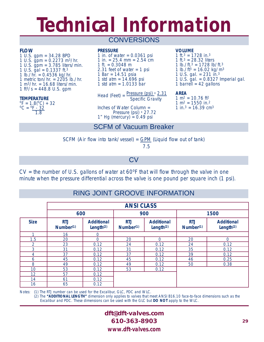# **Technical Information**

# **CONVERSIONS**

#### **FLOW**

1 U.S. gpm = 34.28 BPD 1 U.S. gpm =  $0.2273$  m<sup>3</sup>/hr. 1 U.S. gpm = 3.785 liters/min. 1 U.S.  $\frac{1}{9}$ al = 0.1337 ft.<sup>3</sup> 1 lb./hr. =  $0.4536$  kg/hr. 1 metric ton/hr.  $= 2205$  lb./hr. 1 m<sup>3</sup>/hr. = 16.68 liters/min. 1 ft $3/s = 448.8$  U.S. gpm

#### **TEMPERATURE**

 ${}^{0}F = 1.8({}^{0}C) + 32$ <br> ${}^{0}C = {}^{0}F = 32$  $C = \frac{9F - 32}{5}$ 1.8

#### **PRESSURE**

1 in. of water  $= 0.0361$  psi 1 in.  $= 25.4$  mm  $= 2.54$  cm 1 ft.  $= 0.3048$  m 2.31 feet of water  $= 1$  psi 1 Bar = 14.51 psia 1 std atm =  $14.696$  psi 1 std atm = 1.0133 bar

Head (Feet) =  $\frac{\text{Pressure (psi)} \times 2.31}{\text{Area}}$ Specific Gravity

Inches of Water Column = Pressure (psi)  $\times$  27.72  $1''$  Hg (mercury) = 0.49 psi

#### **VOLUME**

1 ft. $3 = 1728$  in. $3$ 1 ft. $3 = 28.32$  liters 1 lb./ft. $3 = 1728$  lb/ft. $3$ 1 lb./ft $3 = 16.02$  kg/m $3$ 1 U.S. gal. =  $231 \text{ in.}^3$ 1 U.S. gal. = 0.8327 Imperial gal. 1 barrell =  $42$  gallons

**AREA**

 $1 m<sup>2</sup> = 10.76 ft<sup>2</sup>$  $1 m<sup>2</sup> = 1550 in<sup>2</sup>$  $1 \text{ in.}^3 = 16.39 \text{ cm}^3$ 

# SCFM of Vacuum Breaker

SCFM (Air flow into tank/vessel) = GPM (Liquid flow out of tank)

7.5

CV

 $CV =$  the number of U.S. gallons of water at  $60^{\circ}F$  that will flow through the valve in one minute when the pressure differential across the valve is one pound per square inch (1 psi).

# RING JOINT GROOVE INFORMATION

|             | <b>ANSI CLASS</b>       |                                   |                         |                                   |                                     |                                            |
|-------------|-------------------------|-----------------------------------|-------------------------|-----------------------------------|-------------------------------------|--------------------------------------------|
|             | 600                     |                                   |                         | 900                               | 1500                                |                                            |
| <b>Size</b> | <b>RTJ</b><br>Number(1) | <b>Additional</b><br>Length $(2)$ | <b>RTJ</b><br>Number(1) | <b>Additional</b><br>Length $(2)$ | <b>RTJ</b><br>Number <sup>(1)</sup> | <b>Additional</b><br>Length <sup>(2)</sup> |
|             | 16                      | 0                                 |                         |                                   |                                     |                                            |
| 1.5         | 20                      | 0                                 | 20                      | 0                                 | 20                                  | $\mathbf 0$                                |
| 2           | 23                      | 0.12                              | 24                      | 0.12                              | 24                                  | 0.12                                       |
| 3           | 31                      | 0.12                              | 31                      | 0.12                              | 35                                  | 0.12                                       |
| 4           | 37                      | 0.12                              | 37                      | 0.12                              | 39                                  | 0.12                                       |
| 6           | 45                      | 0.12                              | 45                      | 0.12                              | 46                                  | 0.25                                       |
| 8           | 49                      | 0.12                              | 49                      | 0.12                              | 50                                  | 0.38                                       |
| 10          | 53                      | 0.12                              | 53                      | 0.12                              |                                     |                                            |
| 12          | 57                      | 0.12                              |                         |                                   |                                     |                                            |
| 14          | 61                      | 0.12                              |                         |                                   |                                     |                                            |
| 16          | 65                      | 0.12                              |                         |                                   |                                     |                                            |

Notes: (1) The RTJ number can be used for the Excalibur, GLC, PDC and WLC.

(2) The **"ADDITIONAL LENGTH"** dimension only applies to valves that meet ANSI B16.10 face-to-face dimensions such as the Excalibur and PDC. These dimensions can be used with the GLC but **DO NOT** apply to the WLC.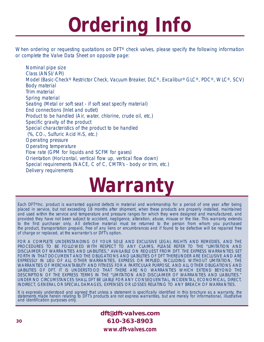# **Ordering Info**

When ordering or requesting quotations on DFT<sup>®</sup> check valves, please specify the following information or complete the Valve Data Sheet on opposite page:

Nominal pipe size Class (ANSI/API) Model (Basic-Check® Restrictor Check, Vacuum Breaker, DLC®, Excalibur® GLC®, PDC®, WLC®, SCV) Body material Trim material Spring material Seating (Metal or soft seat - if soft seat specify material) End connections (Inlet and outlet) Product to be handled (Air, water, chlorine, crude oil, etc.) Specific gravity of the product Special characteristics of the product to be handled (%, CO2, Sulfuric Acid H2S, etc.) Operating pressure Operating temperature Flow rate (GPM for liquids and SCFM for gases) Orientation (Horizontal, vertical flow up, vertical flow down) Special requirements (NACE, C of C, CMTR's - body or trim, etc.) Delivery requirements

# **Warranty**

Each DFT®Inc. product is warranted against defects in material and workmanship for a period of one year after being placed in service, but not exceeding 18 months after shipment, when these products are properly installed, maintained and used within the service and temperature and pressure ranges for which they were designed and manufactured, and provided they have not been subject to accident, negligence, alteration, abuse, misuse or the like. This warranty extends to the first purchaser only. All defective material must be returned to the person from whom you purchased the product, transportation prepaid, free of any liens or encumbrances and if found to be defective will be repaired free of charge or replaced, at the warrantor's or DFT's option.

FOR A COMPLETE UNDERSTANDING OF YOUR SOLE AND EXCLUSIVE LEGAL RIGHTS AND REMEDIES, AND THE PROCEDURES TO BE FOLLOWED WITH RESPECT TO ANY CLAIMS, PLEASE REFER TO THE "LIMITATION AND DISCLAIMER OF WARRANTIES AND LIABILITIES," AVAILABLE ON REQUEST FROM DFT. THE EXPRESS WARRANTIES SET FORTH IN THAT DOCUMENT AND THE OBLIGATIONS AND LIABILITIES OF DFT THEREUNDER ARE EXCLUSIVE AND ARE EXPRESSLY IN LIEU OF ALL OTHER WARRANTIES, EXPRESS OR IMPLIED, INCLUDING WITHOUT LIMITATION, THE WARRANTIES OF MERCHANTABILITY AND FITNESS FOR A PARTICULAR PURPOSE, AND ALL OTHER OBLIGATIONS AND LIABILITIES OF DFT. IT IS UNDERSTOOD THAT THERE ARE NO WARRANTIES WHICH EXTEND BEYOND THE DESCRIPTION OF THE EXPRESS TERMS IN THE "LIMITATION AND DISCLAIMER OF WARRANTIES AND LIABILITIES." UNDER NO CIRCUMSTANCES SHALL DFT BE LIABLE FOR ANY CONSEQUENTIAL, INCIDENTAL, ECONOMICAL, DIRECT, INDIRECT, GENERAL OR SPECIAL DAMAGES, EXPENSES OR LOSSES RELATING TO ANY BREACH OF WARRANTIES.

It is expressly understood and agreed that unless a statement is specifically identified in this brochure as a warranty, the statements made herein relating to DFT's products are not express warranties, but are merely for informational, illustrative and identification purposes only.

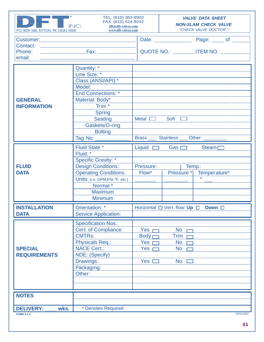| P.O. BOX 566, EXTON, PA 19341-0566                                                                                                                                                               | TEL: (610) 363-8903<br>FAX: (610) 524-9242<br>INC.<br>dft@dft-valves.com<br>www.dft-valves.com |                                        | <b>VALVE DATA SHEET</b><br><b>NON-SLAM CHECK VALVE</b><br>"CHECK VALVE DOCTOR"" |  |  |
|--------------------------------------------------------------------------------------------------------------------------------------------------------------------------------------------------|------------------------------------------------------------------------------------------------|----------------------------------------|---------------------------------------------------------------------------------|--|--|
| <b>Customer: Customer: Customer: Customer: Customer: Customer: Customer: Customer: Customer: Customer: Customer: Customer: Customer: Customer: Customer: Customer: Customer: Customer: Custo</b> |                                                                                                |                                        |                                                                                 |  |  |
| Contact:                                                                                                                                                                                         |                                                                                                |                                        |                                                                                 |  |  |
| Phone:                                                                                                                                                                                           |                                                                                                | QUOTE NO.: __________ITEM NO. ________ |                                                                                 |  |  |
| email:                                                                                                                                                                                           |                                                                                                |                                        |                                                                                 |  |  |
|                                                                                                                                                                                                  |                                                                                                |                                        |                                                                                 |  |  |
|                                                                                                                                                                                                  | Quantity: *                                                                                    |                                        |                                                                                 |  |  |
|                                                                                                                                                                                                  | Line Size: *                                                                                   |                                        |                                                                                 |  |  |
|                                                                                                                                                                                                  | Class (ANSI/API):*                                                                             |                                        |                                                                                 |  |  |
|                                                                                                                                                                                                  | Model:                                                                                         |                                        |                                                                                 |  |  |
|                                                                                                                                                                                                  | <b>End Connections: *</b>                                                                      |                                        |                                                                                 |  |  |
| <b>GENERAL</b>                                                                                                                                                                                   | Material: Body*                                                                                |                                        |                                                                                 |  |  |
| <b>INFORMATION</b>                                                                                                                                                                               | Trim $*$                                                                                       |                                        |                                                                                 |  |  |
|                                                                                                                                                                                                  | <b>Spring</b>                                                                                  |                                        |                                                                                 |  |  |
|                                                                                                                                                                                                  | <b>Seating</b>                                                                                 | Metal $\Box$                           | Soft $\square$                                                                  |  |  |
|                                                                                                                                                                                                  | Gaskets/O-ring                                                                                 |                                        |                                                                                 |  |  |
|                                                                                                                                                                                                  | <b>Bolting</b>                                                                                 |                                        |                                                                                 |  |  |
|                                                                                                                                                                                                  | Tag No:                                                                                        |                                        | Brass ____ Stainless ___ Other:                                                 |  |  |
|                                                                                                                                                                                                  |                                                                                                |                                        |                                                                                 |  |  |
|                                                                                                                                                                                                  | <b>Fluid State *</b><br>Fluid: *                                                               | Liquid $\Box$                          | Gas $\Box$<br>Steam $\square$                                                   |  |  |
|                                                                                                                                                                                                  |                                                                                                |                                        |                                                                                 |  |  |
|                                                                                                                                                                                                  | <b>Specific Gravity: *</b>                                                                     |                                        |                                                                                 |  |  |
| <b>FLUID</b>                                                                                                                                                                                     | <b>Design Conditions:</b>                                                                      | Temp.:<br>Pressure:                    |                                                                                 |  |  |
| <b>DATA</b>                                                                                                                                                                                      | <b>Operating Conditions:</b>                                                                   | Flow*                                  | Pressure * Temperature*                                                         |  |  |
|                                                                                                                                                                                                  | Units: (i.e. GPM, PSI, °F, etc.)                                                               |                                        | $\circ$                                                                         |  |  |
|                                                                                                                                                                                                  | Normal *                                                                                       |                                        |                                                                                 |  |  |
|                                                                                                                                                                                                  | <b>Maximum</b>                                                                                 |                                        |                                                                                 |  |  |
|                                                                                                                                                                                                  | <b>Minimum</b>                                                                                 |                                        |                                                                                 |  |  |
| Orientation: *<br><b>INSTALLATION</b>                                                                                                                                                            |                                                                                                |                                        | Down $\Box$                                                                     |  |  |
| <b>DATA</b>                                                                                                                                                                                      | <b>Service Application:</b>                                                                    | Horizontal □ Vert. flow: Up □          |                                                                                 |  |  |
|                                                                                                                                                                                                  |                                                                                                |                                        |                                                                                 |  |  |
|                                                                                                                                                                                                  | <b>Specification Nos.:</b>                                                                     |                                        |                                                                                 |  |  |
|                                                                                                                                                                                                  | Cert. of Compliance:                                                                           | Yes                                    | <b>No</b>                                                                       |  |  |
|                                                                                                                                                                                                  | <b>CMTRs:</b>                                                                                  | Body <sub>1</sub>                      | <b>Trim</b>                                                                     |  |  |
|                                                                                                                                                                                                  | Physicals Req.:                                                                                | Yes                                    | <b>No</b>                                                                       |  |  |
| <b>SPECIAL</b>                                                                                                                                                                                   | <b>NACE Cert.:</b>                                                                             | Yes                                    | <b>No</b>                                                                       |  |  |
| <b>REQUIREMENTS</b>                                                                                                                                                                              | NDE: (Specify)                                                                                 |                                        |                                                                                 |  |  |
|                                                                                                                                                                                                  | Drawings:                                                                                      | Yes                                    | <b>No</b>                                                                       |  |  |
|                                                                                                                                                                                                  | Packaging:                                                                                     |                                        |                                                                                 |  |  |
|                                                                                                                                                                                                  | Other:                                                                                         |                                        |                                                                                 |  |  |
|                                                                                                                                                                                                  |                                                                                                |                                        |                                                                                 |  |  |
|                                                                                                                                                                                                  |                                                                                                |                                        |                                                                                 |  |  |
|                                                                                                                                                                                                  |                                                                                                |                                        |                                                                                 |  |  |
| <b>NOTES</b>                                                                                                                                                                                     |                                                                                                |                                        |                                                                                 |  |  |
|                                                                                                                                                                                                  |                                                                                                |                                        |                                                                                 |  |  |
| <b>DELIVERY:</b><br>wks.                                                                                                                                                                         | * Denotes Required                                                                             |                                        | 05/31/2002                                                                      |  |  |
| <b>FORM 4-1-2</b>                                                                                                                                                                                |                                                                                                |                                        |                                                                                 |  |  |